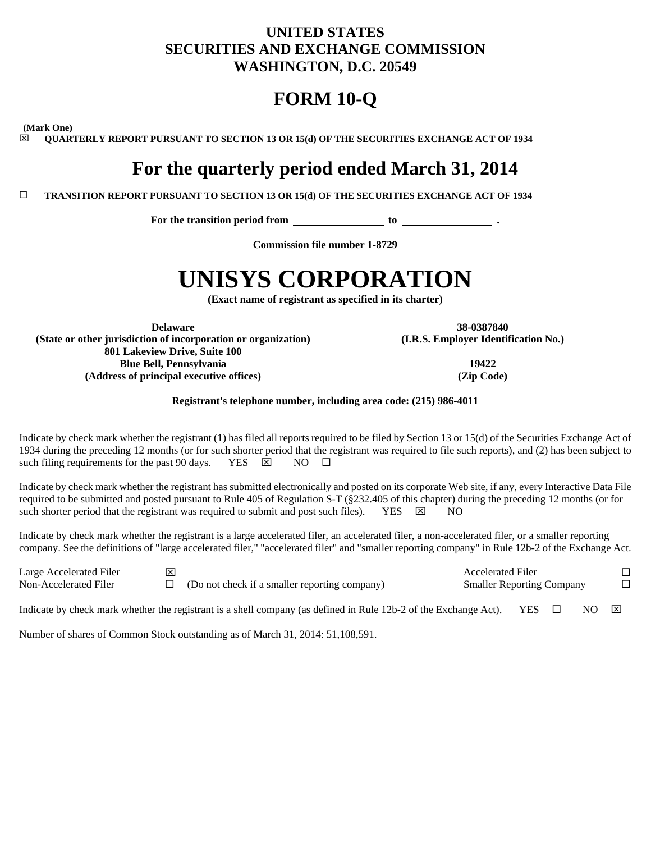### **UNITED STATES SECURITIES AND EXCHANGE COMMISSION WASHINGTON, D.C. 20549**

## **FORM 10-Q**

 **(Mark One)**

**QUARTERLY REPORT PURSUANT TO SECTION 13 OR 15(d) OF THE SECURITIES EXCHANGE ACT OF 1934**

# **For the quarterly period ended March 31, 2014**

**TRANSITION REPORT PURSUANT TO SECTION 13 OR 15(d) OF THE SECURITIES EXCHANGE ACT OF 1934**

For the transition period from **the transition of the transition of the transition of the transition of the transition of the transition of the transition of the transition of the transition of the transition of the transi** 

**Commission file number 1-8729**

# **UNISYS CORPORATION**

**(Exact name of registrant as specified in its charter)**

**Delaware 38-0387840 (State or other jurisdiction of incorporation or organization) (I.R.S. Employer Identification No.) 801 Lakeview Drive, Suite 100 Blue Bell, Pennsylvania 19422 (Address of principal executive offices) (Zip Code)**

**Registrant's telephone number, including area code: (215) 986-4011** 

Indicate by check mark whether the registrant (1) has filed all reports required to be filed by Section 13 or 15(d) of the Securities Exchange Act of 1934 during the preceding 12 months (or for such shorter period that the registrant was required to file such reports), and (2) has been subject to such filing requirements for the past 90 days. YES  $\boxtimes$  NO  $\Box$ 

Indicate by check mark whether the registrant has submitted electronically and posted on its corporate Web site, if any, every Interactive Data File required to be submitted and posted pursuant to Rule 405 of Regulation S-T (§232.405 of this chapter) during the preceding 12 months (or for such shorter period that the registrant was required to submit and post such files). YES  $\boxtimes$  NO

Indicate by check mark whether the registrant is a large accelerated filer, an accelerated filer, a non-accelerated filer, or a smaller reporting company. See the definitions of "large accelerated filer," "accelerated filer" and "smaller reporting company" in Rule 12b-2 of the Exchange Act.

| Large Accelerated Filer | Ι× |                                                      | Accelerated Filer                |  |
|-------------------------|----|------------------------------------------------------|----------------------------------|--|
| Non-Accelerated Filer   |    | $\Box$ (Do not check if a smaller reporting company) | <b>Smaller Reporting Company</b> |  |

Indicate by check mark whether the registrant is a shell company (as defined in Rule 12b-2 of the Exchange Act). YES  $\square$  NO  $\square$ 

Number of shares of Common Stock outstanding as of March 31, 2014: 51,108,591.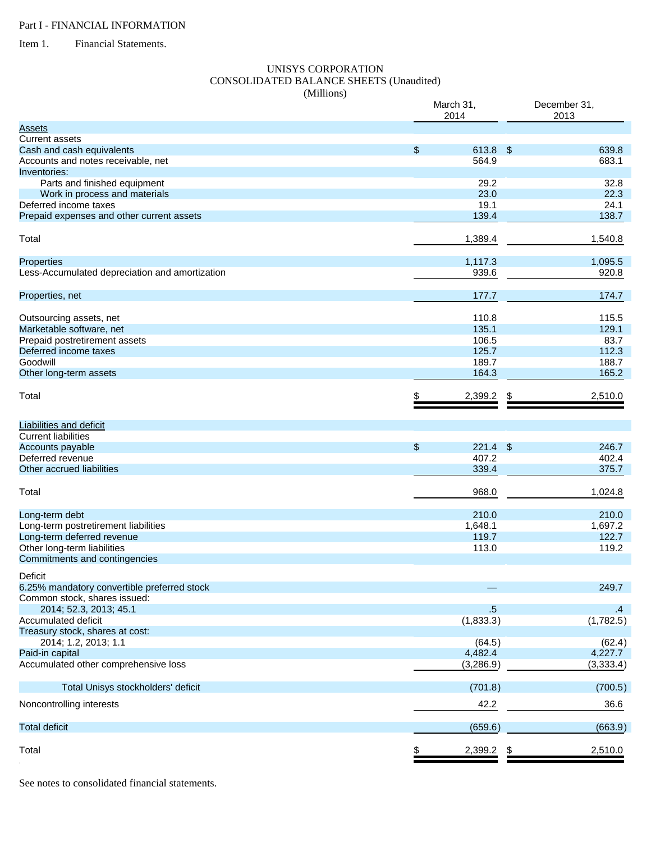#### Part I - FINANCIAL INFORMATION

#### Item 1. Financial Statements.

## UNISYS CORPORATION CONSOLIDATED BALANCE SHEETS (Unaudited)

|                                                         | (Millions) |                   |                      |
|---------------------------------------------------------|------------|-------------------|----------------------|
|                                                         |            | March 31,<br>2014 | December 31,<br>2013 |
| <b>Assets</b>                                           |            |                   |                      |
| <b>Current assets</b>                                   |            |                   |                      |
| Cash and cash equivalents                               |            | \$<br>613.8 \$    | 639.8                |
| Accounts and notes receivable, net                      |            | 564.9             | 683.1                |
| Inventories:                                            |            |                   |                      |
| Parts and finished equipment                            |            | 29.2              | 32.8                 |
| Work in process and materials                           |            | 23.0              | 22.3                 |
| Deferred income taxes                                   |            | 19.1              | 24.1                 |
| Prepaid expenses and other current assets               |            | 139.4             | 138.7                |
| Total                                                   |            | 1,389.4           | 1,540.8              |
| <b>Properties</b>                                       |            | 1,117.3           | 1,095.5              |
| Less-Accumulated depreciation and amortization          |            | 939.6             | 920.8                |
| Properties, net                                         |            | 177.7             | 174.7                |
| Outsourcing assets, net                                 |            | 110.8             | 115.5                |
| Marketable software, net                                |            | 135.1             | 129.1                |
| Prepaid postretirement assets                           |            | 106.5             | 83.7                 |
| Deferred income taxes                                   |            | 125.7             | 112.3                |
| Goodwill                                                |            | 189.7             | 188.7                |
| Other long-term assets                                  |            | 164.3             | 165.2                |
| Total                                                   |            | 2,399.2           | 2,510.0              |
| <b>Liabilities and deficit</b>                          |            |                   |                      |
| <b>Current liabilities</b>                              |            |                   |                      |
| Accounts payable                                        |            | \$<br>$221.4$ \$  | 246.7                |
| Deferred revenue                                        |            | 407.2             | 402.4                |
| Other accrued liabilities                               |            | 339.4             | 375.7                |
|                                                         |            |                   |                      |
| Total                                                   |            | 968.0             | 1,024.8              |
| Long-term debt                                          |            | 210.0             | 210.0                |
| Long-term postretirement liabilities                    |            | 1,648.1           | 1,697.2              |
| Long-term deferred revenue                              |            | 119.7             | 122.7                |
| Other long-term liabilities                             |            | 113.0             | 119.2                |
| Commitments and contingencies                           |            |                   |                      |
| Deficit                                                 |            |                   |                      |
| 6.25% mandatory convertible preferred stock             |            |                   | 249.7                |
| Common stock, shares issued:                            |            |                   |                      |
| 2014; 52.3, 2013; 45.1                                  |            | $.5\,$            | $\mathcal{A}$        |
| Accumulated deficit                                     |            | (1,833.3)         | (1,782.5)            |
| Treasury stock, shares at cost:                         |            |                   |                      |
| 2014; 1.2, 2013; 1.1                                    |            | (64.5)            | (62.4)               |
| Paid-in capital<br>Accumulated other comprehensive loss |            | 4,482.4           | 4,227.7              |
|                                                         |            | (3, 286.9)        | (3,333.4)            |
| Total Unisys stockholders' deficit                      |            | (701.8)           | (700.5)              |
| Noncontrolling interests                                |            | 42.2              | 36.6                 |
| <b>Total deficit</b>                                    |            | (659.6)           | (663.9)              |
| Total                                                   |            | \$<br>2,399.2     | \$<br>2,510.0        |
|                                                         |            |                   |                      |

See notes to consolidated financial statements.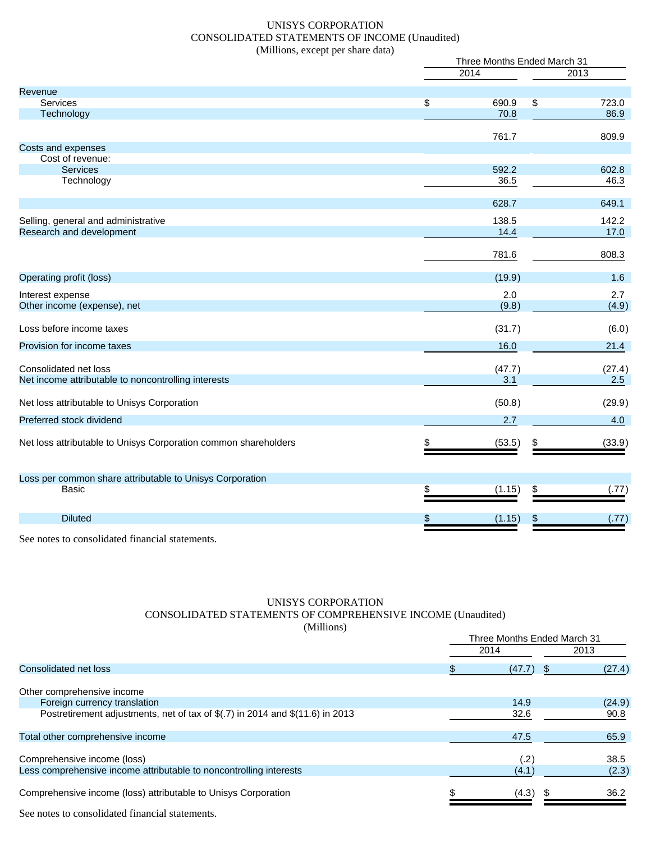#### UNISYS CORPORATION CONSOLIDATED STATEMENTS OF INCOME (Unaudited) (Millions, except per share data)

|                                                                              | Three Months Ended March 31 |               |               |  |  |
|------------------------------------------------------------------------------|-----------------------------|---------------|---------------|--|--|
|                                                                              |                             | 2014          | 2013          |  |  |
| Revenue                                                                      |                             |               |               |  |  |
| Services                                                                     | \$                          | \$<br>690.9   | 723.0         |  |  |
| Technology                                                                   |                             | 70.8          | 86.9          |  |  |
|                                                                              |                             | 761.7         | 809.9         |  |  |
| Costs and expenses                                                           |                             |               |               |  |  |
| Cost of revenue:                                                             |                             |               |               |  |  |
| <b>Services</b>                                                              |                             | 592.2         | 602.8         |  |  |
| Technology                                                                   |                             | 36.5          | 46.3          |  |  |
|                                                                              |                             | 628.7         | 649.1         |  |  |
| Selling, general and administrative                                          |                             | 138.5         | 142.2         |  |  |
| Research and development                                                     |                             | 14.4          | 17.0          |  |  |
|                                                                              |                             | 781.6         | 808.3         |  |  |
| Operating profit (loss)                                                      |                             | (19.9)        | 1.6           |  |  |
| Interest expense                                                             |                             | 2.0           | 2.7           |  |  |
| Other income (expense), net                                                  |                             | (9.8)         | (4.9)         |  |  |
| Loss before income taxes                                                     |                             | (31.7)        | (6.0)         |  |  |
| Provision for income taxes                                                   |                             | 16.0          | 21.4          |  |  |
|                                                                              |                             |               |               |  |  |
| Consolidated net loss<br>Net income attributable to noncontrolling interests |                             | (47.7)<br>3.1 | (27.4)<br>2.5 |  |  |
| Net loss attributable to Unisys Corporation                                  |                             | (50.8)        | (29.9)        |  |  |
|                                                                              |                             |               |               |  |  |
| Preferred stock dividend                                                     |                             | 2.7           | 4.0           |  |  |
| Net loss attributable to Unisys Corporation common shareholders              |                             | (53.5)        | (33.9)        |  |  |
| Loss per common share attributable to Unisys Corporation                     |                             |               |               |  |  |
| <b>Basic</b>                                                                 | \$                          | (1.15)<br>\$  | (.77)         |  |  |
|                                                                              |                             |               |               |  |  |
| <b>Diluted</b>                                                               | \$                          | (1.15)<br>\$  | (.77)         |  |  |
|                                                                              |                             |               |               |  |  |

See notes to consolidated financial statements.

#### UNISYS CORPORATION CONSOLIDATED STATEMENTS OF COMPREHENSIVE INCOME (Unaudited) (Millions)

 Three Months Ended March 31 2014 **2013** Consolidated net loss (27.4)  $(47.7)$  \$ (27.4) Other comprehensive income Foreign currency translation (24.9) Toreign currency translation (24.9) and  $\frac{14.9}{20.8}$  Foreign currency translation (24.9) To estretirement adjustments, net of tax of \$(.7) in 2014 and \$(11.6) in 2013 32.6 32.6 90.8 Postretirement adjustments, net of tax of \$(.7) in 2014 and \$(11.6) in 2013 Total other comprehensive income 65.9 65.9 Comprehensive income (loss) 38.5<br>Less comprehensive income attributable to noncontrolling interests (4.1) (2.3 Less comprehensive income attributable to noncontrolling interests (4.1) (2.3) Comprehensive income (loss) attributable to Unisys Corporation \$ (4.3) \$ 36.2

See notes to consolidated financial statements.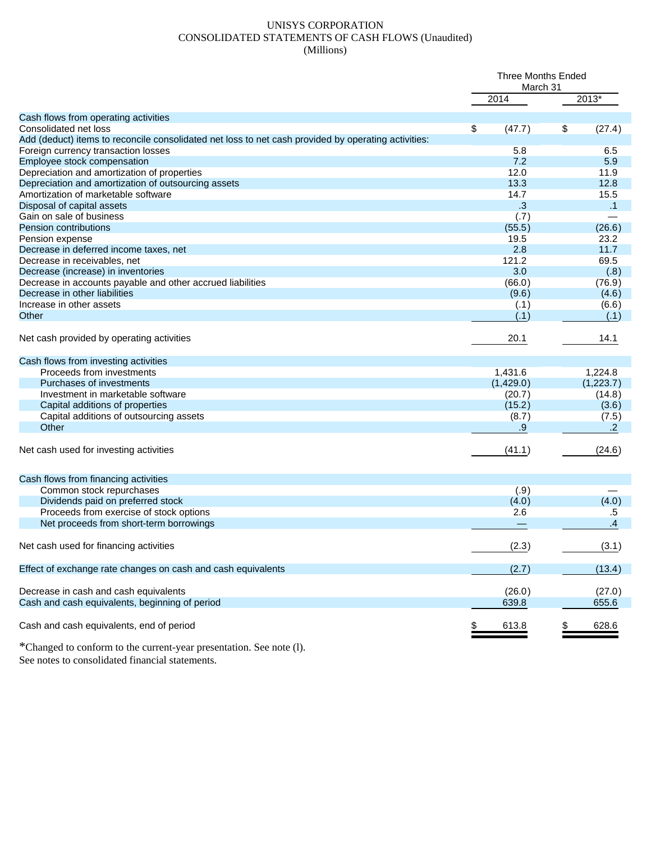#### UNISYS CORPORATION CONSOLIDATED STATEMENTS OF CASH FLOWS (Unaudited) (Millions)

|                                                                                                     |    | <b>Three Months Ended</b> |    |            |
|-----------------------------------------------------------------------------------------------------|----|---------------------------|----|------------|
|                                                                                                     |    | 2014                      |    | 2013*      |
| Cash flows from operating activities                                                                |    |                           |    |            |
| Consolidated net loss                                                                               | \$ | (47.7)                    | \$ | (27.4)     |
| Add (deduct) items to reconcile consolidated net loss to net cash provided by operating activities: |    |                           |    |            |
| Foreign currency transaction losses                                                                 |    | 5.8                       |    | 6.5        |
| Employee stock compensation                                                                         |    | 7.2                       |    | 5.9        |
| Depreciation and amortization of properties                                                         |    | 12.0                      |    | 11.9       |
| Depreciation and amortization of outsourcing assets                                                 |    | 13.3                      |    | 12.8       |
| Amortization of marketable software                                                                 |    | 14.7                      |    | 15.5       |
| Disposal of capital assets                                                                          |    | .3                        |    | $\cdot$ 1  |
| Gain on sale of business                                                                            |    | (.7)                      |    |            |
| Pension contributions                                                                               |    | (55.5)                    |    | (26.6)     |
| Pension expense                                                                                     |    | 19.5                      |    | 23.2       |
| Decrease in deferred income taxes, net                                                              |    | 2.8                       |    | 11.7       |
| Decrease in receivables, net                                                                        |    | 121.2                     |    | 69.5       |
| Decrease (increase) in inventories                                                                  |    | 3.0                       |    | (.8)       |
| Decrease in accounts payable and other accrued liabilities                                          |    | (66.0)                    |    | (76.9)     |
| Decrease in other liabilities                                                                       |    | (9.6)                     |    | (4.6)      |
| Increase in other assets                                                                            |    | (.1)                      |    |            |
|                                                                                                     |    |                           |    | (6.6)      |
| Other                                                                                               |    | (.1)                      |    | (.1)       |
| Net cash provided by operating activities                                                           |    | 20.1                      |    | 14.1       |
| Cash flows from investing activities                                                                |    |                           |    |            |
| Proceeds from investments                                                                           |    | 1,431.6                   |    | 1,224.8    |
| Purchases of investments                                                                            |    | (1,429.0)                 |    | (1,223.7)  |
| Investment in marketable software                                                                   |    | (20.7)                    |    | (14.8)     |
| Capital additions of properties                                                                     |    | (15.2)                    |    | (3.6)      |
| Capital additions of outsourcing assets                                                             |    | (8.7)                     |    | (7.5)      |
| Other                                                                                               |    | .9                        |    | $\cdot$ .2 |
| Net cash used for investing activities                                                              |    | (41.1)                    |    | (24.6)     |
| Cash flows from financing activities                                                                |    |                           |    |            |
| Common stock repurchases                                                                            |    | (.9)                      |    |            |
| Dividends paid on preferred stock                                                                   |    | (4.0)                     |    | (4.0)      |
| Proceeds from exercise of stock options                                                             |    | 2.6                       |    | .5         |
| Net proceeds from short-term borrowings                                                             |    |                           |    | $\cdot$    |
|                                                                                                     |    |                           |    |            |
| Net cash used for financing activities                                                              |    | (2.3)                     |    | (3.1)      |
| Effect of exchange rate changes on cash and cash equivalents                                        |    | (2.7)                     |    | (13.4)     |
|                                                                                                     |    |                           |    |            |
| Decrease in cash and cash equivalents                                                               |    | (26.0)                    |    | (27.0)     |
| Cash and cash equivalents, beginning of period                                                      |    | 639.8                     |    | 655.6      |
| Cash and cash equivalents, end of period                                                            |    | 613.8                     |    | 628.6      |

\*Changed to conform to the current-year presentation. See note (l). See notes to consolidated financial statements.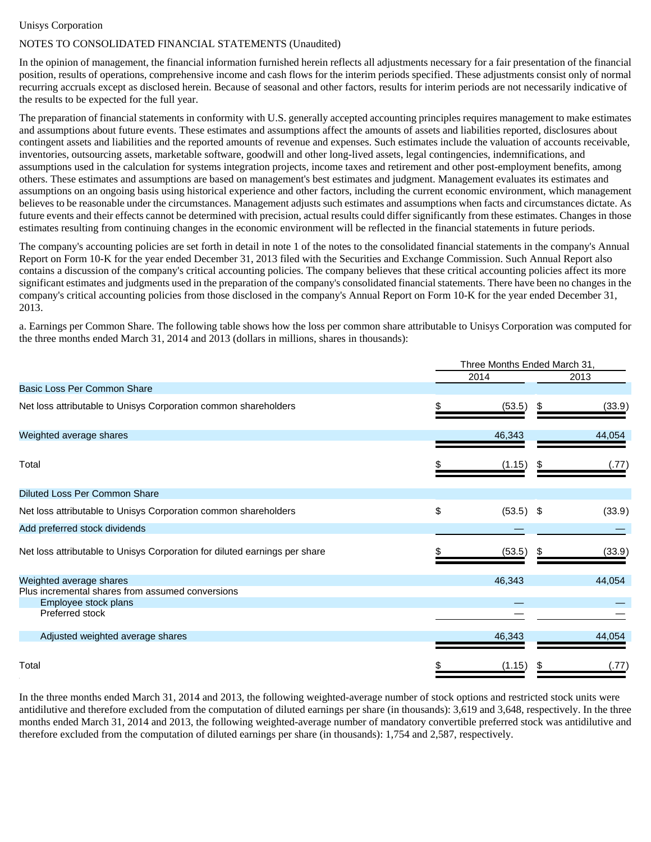#### Unisys Corporation

#### NOTES TO CONSOLIDATED FINANCIAL STATEMENTS (Unaudited)

In the opinion of management, the financial information furnished herein reflects all adjustments necessary for a fair presentation of the financial position, results of operations, comprehensive income and cash flows for the interim periods specified. These adjustments consist only of normal recurring accruals except as disclosed herein. Because of seasonal and other factors, results for interim periods are not necessarily indicative of the results to be expected for the full year.

The preparation of financial statements in conformity with U.S. generally accepted accounting principles requires management to make estimates and assumptions about future events. These estimates and assumptions affect the amounts of assets and liabilities reported, disclosures about contingent assets and liabilities and the reported amounts of revenue and expenses. Such estimates include the valuation of accounts receivable, inventories, outsourcing assets, marketable software, goodwill and other long-lived assets, legal contingencies, indemnifications, and assumptions used in the calculation for systems integration projects, income taxes and retirement and other post-employment benefits, among others. These estimates and assumptions are based on management's best estimates and judgment. Management evaluates its estimates and assumptions on an ongoing basis using historical experience and other factors, including the current economic environment, which management believes to be reasonable under the circumstances. Management adjusts such estimates and assumptions when facts and circumstances dictate. As future events and their effects cannot be determined with precision, actual results could differ significantly from these estimates. Changes in those estimates resulting from continuing changes in the economic environment will be reflected in the financial statements in future periods.

The company's accounting policies are set forth in detail in note 1 of the notes to the consolidated financial statements in the company's Annual Report on Form 10-K for the year ended December 31, 2013 filed with the Securities and Exchange Commission. Such Annual Report also contains a discussion of the company's critical accounting policies. The company believes that these critical accounting policies affect its more significant estimates and judgments used in the preparation of the company's consolidated financial statements. There have been no changes in the company's critical accounting policies from those disclosed in the company's Annual Report on Form 10-K for the year ended December 31, 2013.

a. Earnings per Common Share. The following table shows how the loss per common share attributable to Unisys Corporation was computed for the three months ended March 31, 2014 and 2013 (dollars in millions, shares in thousands):

|                                                                            | Three Months Ended March 31, |             |   |        |
|----------------------------------------------------------------------------|------------------------------|-------------|---|--------|
|                                                                            |                              | 2014        |   | 2013   |
| Basic Loss Per Common Share                                                |                              |             |   |        |
| Net loss attributable to Unisys Corporation common shareholders            |                              | (53.5)      | S | (33.9) |
| Weighted average shares                                                    |                              | 46,343      |   | 44,054 |
| Total                                                                      |                              | (1.15)      |   | (.77)  |
| Diluted Loss Per Common Share                                              |                              |             |   |        |
| Net loss attributable to Unisys Corporation common shareholders            | \$                           | $(53.5)$ \$ |   | (33.9) |
| Add preferred stock dividends                                              |                              |             |   |        |
| Net loss attributable to Unisys Corporation for diluted earnings per share |                              | (53.5)      | S | (33.9) |
| Weighted average shares                                                    |                              | 46,343      |   | 44,054 |
| Plus incremental shares from assumed conversions                           |                              |             |   |        |
| Employee stock plans                                                       |                              |             |   |        |
| Preferred stock                                                            |                              |             |   |        |
| Adjusted weighted average shares                                           |                              | 46,343      |   | 44,054 |
| Total                                                                      |                              | (1.15)      |   | (.77)  |

In the three months ended March 31, 2014 and 2013, the following weighted-average number of stock options and restricted stock units were antidilutive and therefore excluded from the computation of diluted earnings per share (in thousands): 3,619 and 3,648, respectively. In the three months ended March 31, 2014 and 2013, the following weighted-average number of mandatory convertible preferred stock was antidilutive and therefore excluded from the computation of diluted earnings per share (in thousands): 1,754 and 2,587, respectively.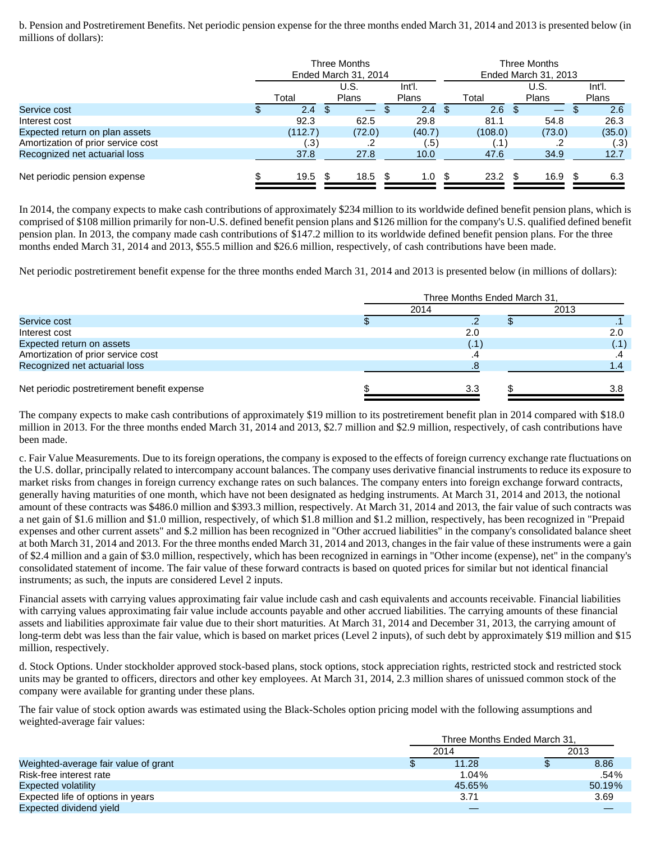b. Pension and Postretirement Benefits. Net periodic pension expense for the three months ended March 31, 2014 and 2013 is presented below (in millions of dollars):

|                                    | Three Months<br>Ended March 31, 2014 |  |        | Three Months<br>Ended March 31, 2013 |               |     |                     |      |              |  |        |
|------------------------------------|--------------------------------------|--|--------|--------------------------------------|---------------|-----|---------------------|------|--------------|--|--------|
|                                    |                                      |  | U.S.   |                                      | Int'l.        |     |                     |      | U.S.         |  | Int'l. |
|                                    | Total                                |  | Plans  |                                      | <b>Plans</b>  |     | Total               |      | <b>Plans</b> |  | Plans  |
| Service cost                       | 2.4                                  |  |        | Ъ                                    | $2.4^{\circ}$ | \$. | 2.6                 | - \$ |              |  | 2.6    |
| Interest cost                      | 92.3                                 |  | 62.5   |                                      | 29.8          |     | 81.1                |      | 54.8         |  | 26.3   |
| Expected return on plan assets     | (112.7)                              |  | (72.0) |                                      | (40.7)        |     | (108.0)             |      | (73.0)       |  | (35.0) |
| Amortization of prior service cost | (.3)                                 |  |        |                                      | (5)           |     | $\left( .1 \right)$ |      |              |  | (.3)   |
| Recognized net actuarial loss      | 37.8                                 |  | 27.8   |                                      | 10.0          |     | 47.6                |      | 34.9         |  | 12.7   |
| Net periodic pension expense       | 19.5                                 |  | 18.5   |                                      | 1.0           |     | 23.2                |      | 16.9         |  | 6.3    |

In 2014, the company expects to make cash contributions of approximately \$234 million to its worldwide defined benefit pension plans, which is comprised of \$108 million primarily for non-U.S. defined benefit pension plans and \$126 million for the company's U.S. qualified defined benefit pension plan. In 2013, the company made cash contributions of \$147.2 million to its worldwide defined benefit pension plans. For the three months ended March 31, 2014 and 2013, \$55.5 million and \$26.6 million, respectively, of cash contributions have been made.

Net periodic postretirement benefit expense for the three months ended March 31, 2014 and 2013 is presented below (in millions of dollars):

|                                             | Three Months Ended March 31, |     |  |      |  |  |  |
|---------------------------------------------|------------------------------|-----|--|------|--|--|--|
|                                             | 2014                         |     |  | 2013 |  |  |  |
| Service cost                                |                              |     |  |      |  |  |  |
| Interest cost                               |                              | 2.0 |  | 2.C  |  |  |  |
| Expected return on assets                   |                              |     |  |      |  |  |  |
| Amortization of prior service cost          |                              |     |  |      |  |  |  |
| Recognized net actuarial loss               |                              |     |  |      |  |  |  |
| Net periodic postretirement benefit expense |                              | 3.3 |  |      |  |  |  |

The company expects to make cash contributions of approximately \$19 million to its postretirement benefit plan in 2014 compared with \$18.0 million in 2013. For the three months ended March 31, 2014 and 2013, \$2.7 million and \$2.9 million, respectively, of cash contributions have been made.

c. Fair Value Measurements. Due to its foreign operations, the company is exposed to the effects of foreign currency exchange rate fluctuations on the U.S. dollar, principally related to intercompany account balances. The company uses derivative financial instruments to reduce its exposure to market risks from changes in foreign currency exchange rates on such balances. The company enters into foreign exchange forward contracts, generally having maturities of one month, which have not been designated as hedging instruments. At March 31, 2014 and 2013, the notional amount of these contracts was \$486.0 million and \$393.3 million, respectively. At March 31, 2014 and 2013, the fair value of such contracts was a net gain of \$1.6 million and \$1.0 million, respectively, of which \$1.8 million and \$1.2 million, respectively, has been recognized in "Prepaid expenses and other current assets" and \$.2 million has been recognized in "Other accrued liabilities" in the company's consolidated balance sheet at both March 31, 2014 and 2013. For the three months ended March 31, 2014 and 2013, changes in the fair value of these instruments were a gain of \$2.4 million and a gain of \$3.0 million, respectively, which has been recognized in earnings in "Other income (expense), net" in the company's consolidated statement of income. The fair value of these forward contracts is based on quoted prices for similar but not identical financial instruments; as such, the inputs are considered Level 2 inputs.

Financial assets with carrying values approximating fair value include cash and cash equivalents and accounts receivable. Financial liabilities with carrying values approximating fair value include accounts payable and other accrued liabilities. The carrying amounts of these financial assets and liabilities approximate fair value due to their short maturities. At March 31, 2014 and December 31, 2013, the carrying amount of long-term debt was less than the fair value, which is based on market prices (Level 2 inputs), of such debt by approximately \$19 million and \$15 million, respectively.

d. Stock Options. Under stockholder approved stock-based plans, stock options, stock appreciation rights, restricted stock and restricted stock units may be granted to officers, directors and other key employees. At March 31, 2014, 2.3 million shares of unissued common stock of the company were available for granting under these plans.

The fair value of stock option awards was estimated using the Black-Scholes option pricing model with the following assumptions and weighted-average fair values:

|                                      | Three Months Ended March 31, |      |        |  |  |
|--------------------------------------|------------------------------|------|--------|--|--|
|                                      | 2014                         | 2013 |        |  |  |
| Weighted-average fair value of grant | 11.28                        |      | 8.86   |  |  |
| Risk-free interest rate              | $1.04\%$                     |      | .54%   |  |  |
| Expected volatility                  | 45.65%                       |      | 50.19% |  |  |
| Expected life of options in years    | 3.71                         |      | 3.69   |  |  |
| Expected dividend yield              |                              |      |        |  |  |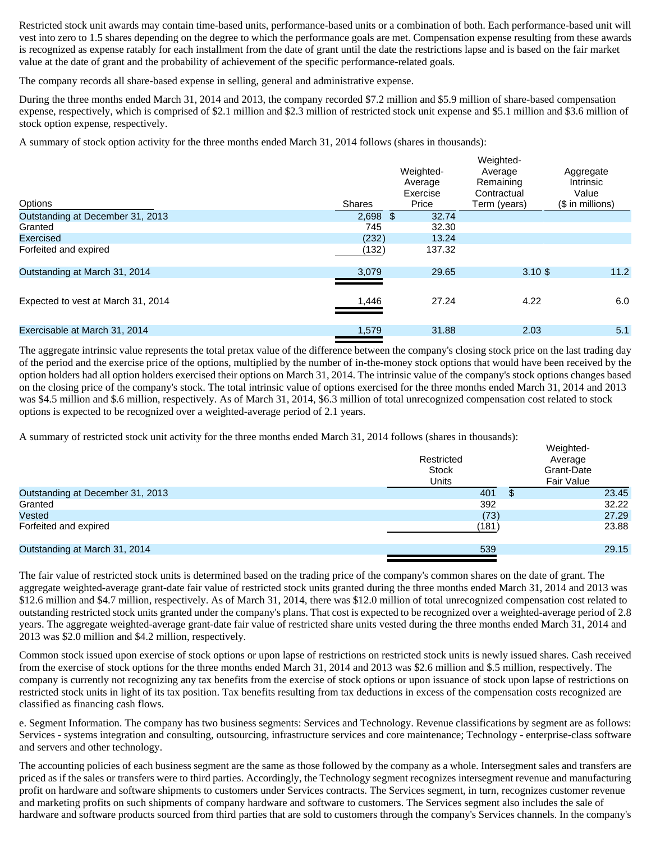Restricted stock unit awards may contain time-based units, performance-based units or a combination of both. Each performance-based unit will vest into zero to 1.5 shares depending on the degree to which the performance goals are met. Compensation expense resulting from these awards is recognized as expense ratably for each installment from the date of grant until the date the restrictions lapse and is based on the fair market value at the date of grant and the probability of achievement of the specific performance-related goals.

The company records all share-based expense in selling, general and administrative expense.

During the three months ended March 31, 2014 and 2013, the company recorded \$7.2 million and \$5.9 million of share-based compensation expense, respectively, which is comprised of \$2.1 million and \$2.3 million of restricted stock unit expense and \$5.1 million and \$3.6 million of stock option expense, respectively.

Weighted-

Weighted-

A summary of stock option activity for the three months ended March 31, 2014 follows (shares in thousands):

| Options                            | <b>Shares</b> | Weighted-<br>Average<br>Exercise<br>Price | <i>vveighted-</i><br>Average<br>Remaining<br>Contractual<br>Term (vears) | Aggregate<br>Intrinsic<br>Value<br>(\$ in millions) |
|------------------------------------|---------------|-------------------------------------------|--------------------------------------------------------------------------|-----------------------------------------------------|
| Outstanding at December 31, 2013   | $2,698$ \$    | 32.74                                     |                                                                          |                                                     |
| Granted                            | 745           | 32.30                                     |                                                                          |                                                     |
| Exercised                          | (232)         | 13.24                                     |                                                                          |                                                     |
| Forfeited and expired              | (132)         | 137.32                                    |                                                                          |                                                     |
| Outstanding at March 31, 2014      | 3,079         | 29.65                                     | $3.10$ \$                                                                | 11.2                                                |
| Expected to vest at March 31, 2014 | 1,446         | 27.24                                     | 4.22                                                                     | 6.0                                                 |
| Exercisable at March 31, 2014      | 1,579         | 31.88                                     | 2.03                                                                     | 5.1                                                 |
|                                    |               |                                           |                                                                          |                                                     |

The aggregate intrinsic value represents the total pretax value of the difference between the company's closing stock price on the last trading day of the period and the exercise price of the options, multiplied by the number of in-the-money stock options that would have been received by the option holders had all option holders exercised their options on March 31, 2014. The intrinsic value of the company's stock options changes based on the closing price of the company's stock. The total intrinsic value of options exercised for the three months ended March 31, 2014 and 2013 was \$4.5 million and \$.6 million, respectively. As of March 31, 2014, \$6.3 million of total unrecognized compensation cost related to stock options is expected to be recognized over a weighted-average period of 2.1 years.

A summary of restricted stock unit activity for the three months ended March 31, 2014 follows (shares in thousands):

|                                  |              | <i>vveignted-</i> |
|----------------------------------|--------------|-------------------|
|                                  | Restricted   | Average           |
|                                  | <b>Stock</b> | Grant-Date        |
|                                  | Units        | Fair Value        |
| Outstanding at December 31, 2013 | 401          | 23.45             |
| Granted                          | 392          | 32.22             |
| Vested                           | (73)         | 27.29             |
| Forfeited and expired            | (181)        | 23.88             |
| Outstanding at March 31, 2014    | 539          | 29.15             |
|                                  |              |                   |

The fair value of restricted stock units is determined based on the trading price of the company's common shares on the date of grant. The aggregate weighted-average grant-date fair value of restricted stock units granted during the three months ended March 31, 2014 and 2013 was \$12.6 million and \$4.7 million, respectively. As of March 31, 2014, there was \$12.0 million of total unrecognized compensation cost related to outstanding restricted stock units granted under the company's plans. That cost is expected to be recognized over a weighted-average period of 2.8 years. The aggregate weighted-average grant-date fair value of restricted share units vested during the three months ended March 31, 2014 and 2013 was \$2.0 million and \$4.2 million, respectively.

Common stock issued upon exercise of stock options or upon lapse of restrictions on restricted stock units is newly issued shares. Cash received from the exercise of stock options for the three months ended March 31, 2014 and 2013 was \$2.6 million and \$.5 million, respectively. The company is currently not recognizing any tax benefits from the exercise of stock options or upon issuance of stock upon lapse of restrictions on restricted stock units in light of its tax position. Tax benefits resulting from tax deductions in excess of the compensation costs recognized are classified as financing cash flows.

e. Segment Information. The company has two business segments: Services and Technology. Revenue classifications by segment are as follows: Services - systems integration and consulting, outsourcing, infrastructure services and core maintenance; Technology - enterprise-class software and servers and other technology.

The accounting policies of each business segment are the same as those followed by the company as a whole. Intersegment sales and transfers are priced as if the sales or transfers were to third parties. Accordingly, the Technology segment recognizes intersegment revenue and manufacturing profit on hardware and software shipments to customers under Services contracts. The Services segment, in turn, recognizes customer revenue and marketing profits on such shipments of company hardware and software to customers. The Services segment also includes the sale of hardware and software products sourced from third parties that are sold to customers through the company's Services channels. In the company's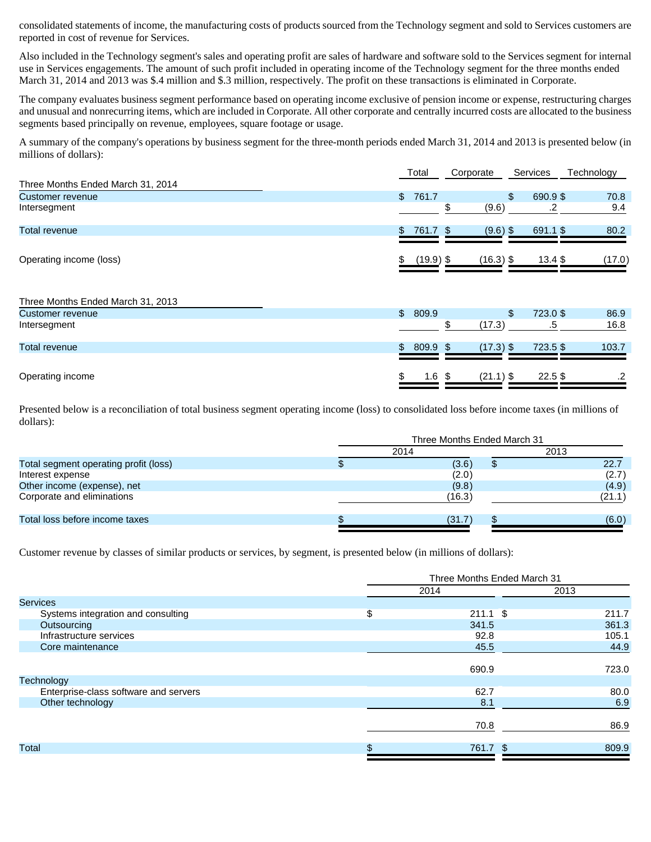consolidated statements of income, the manufacturing costs of products sourced from the Technology segment and sold to Services customers are reported in cost of revenue for Services.

Also included in the Technology segment's sales and operating profit are sales of hardware and software sold to the Services segment for internal use in Services engagements. The amount of such profit included in operating income of the Technology segment for the three months ended March 31, 2014 and 2013 was \$.4 million and \$.3 million, respectively. The profit on these transactions is eliminated in Corporate.

The company evaluates business segment performance based on operating income exclusive of pension income or expense, restructuring charges and unusual and nonrecurring items, which are included in Corporate. All other corporate and centrally incurred costs are allocated to the business segments based principally on revenue, employees, square footage or usage.

A summary of the company's operations by business segment for the three-month periods ended March 31, 2014 and 2013 is presented below (in millions of dollars):

|                                   |              | Total       |      | Corporate   | Services       | Technology |
|-----------------------------------|--------------|-------------|------|-------------|----------------|------------|
| Three Months Ended March 31, 2014 |              |             |      |             |                |            |
| Customer revenue                  | $\mathbb{S}$ | 761.7       |      |             | \$<br>690.9\$  | 70.8       |
| Intersegment                      |              |             | \$   | (9.6)       | .2             | 9.4        |
| <b>Total revenue</b>              | \$.          | 761.7 \$    |      | $(9.6)$ \$  | 691.1 \$       | 80.2       |
|                                   |              |             |      |             |                |            |
| Operating income (loss)           | S.           | $(19.9)$ \$ |      | $(16.3)$ \$ | $13.4$ \$      | (17.0)     |
| Three Months Ended March 31, 2013 |              |             |      |             |                |            |
| Customer revenue                  | $\mathbb{S}$ | 809.9       |      |             | \$<br>723.0 \$ | 86.9       |
| Intersegment                      |              |             | \$   | (17.3)      | .5             | 16.8       |
| <b>Total revenue</b>              | \$.          | 809.9 \$    |      | $(17.3)$ \$ | 723.5 \$       | 103.7      |
| Operating income                  |              | 1.6         | - \$ | $(21.1)$ \$ | $22.5$ \$      |            |

Presented below is a reconciliation of total business segment operating income (loss) to consolidated loss before income taxes (in millions of dollars):

|                                       | Three Months Ended March 31 |        |   |        |  |  |  |
|---------------------------------------|-----------------------------|--------|---|--------|--|--|--|
|                                       | 2014                        |        |   | 2013   |  |  |  |
| Total segment operating profit (loss) |                             | (3.6)  | D | 22.7   |  |  |  |
| Interest expense                      |                             | (2.0)  |   | (2.7)  |  |  |  |
| Other income (expense), net           |                             | (9.8)  |   | (4.9)  |  |  |  |
| Corporate and eliminations            |                             | (16.3) |   | (21.1) |  |  |  |
| Total loss before income taxes        |                             | (31.7) |   | (6.0)  |  |  |  |

Customer revenue by classes of similar products or services, by segment, is presented below (in millions of dollars):

|                                       | Three Months Ended March 31 |       |  |  |  |
|---------------------------------------|-----------------------------|-------|--|--|--|
|                                       | 2014                        | 2013  |  |  |  |
| <b>Services</b>                       |                             |       |  |  |  |
| Systems integration and consulting    | \$<br>$211.1$ \$            | 211.7 |  |  |  |
| Outsourcing                           | 341.5                       | 361.3 |  |  |  |
| Infrastructure services               | 92.8                        | 105.1 |  |  |  |
| Core maintenance                      | 45.5                        | 44.9  |  |  |  |
|                                       |                             |       |  |  |  |
|                                       | 690.9                       | 723.0 |  |  |  |
| Technology                            |                             |       |  |  |  |
| Enterprise-class software and servers | 62.7                        | 80.0  |  |  |  |
| Other technology                      | 8.1                         | 6.9   |  |  |  |
|                                       |                             |       |  |  |  |
|                                       | 70.8                        | 86.9  |  |  |  |
|                                       |                             |       |  |  |  |
| Total                                 | 761.7 \$                    | 809.9 |  |  |  |
|                                       |                             |       |  |  |  |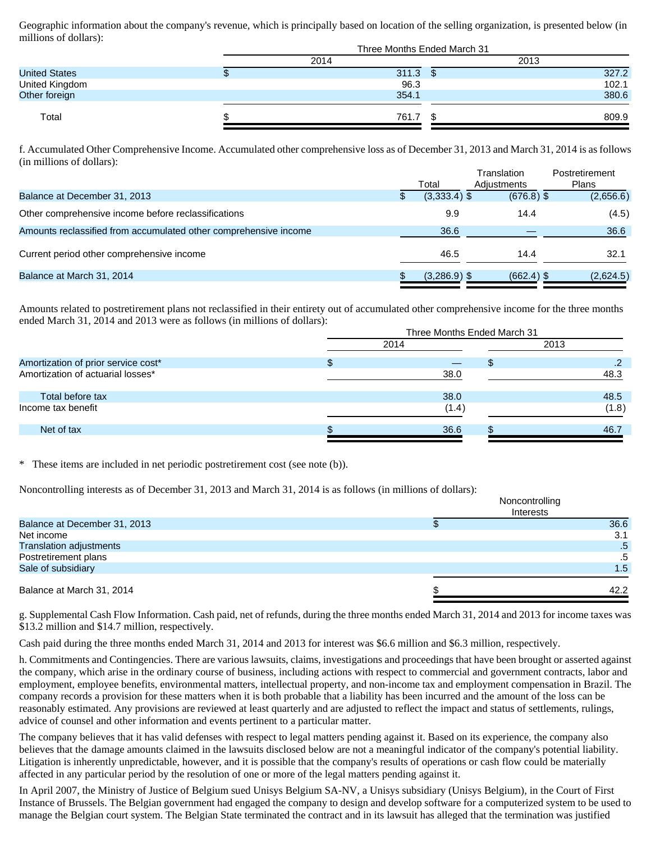Geographic information about the company's revenue, which is principally based on location of the selling organization, is presented below (in millions of dollars):

|                      | Three Months Ended March 31 |       |      |       |  |
|----------------------|-----------------------------|-------|------|-------|--|
|                      |                             | 2014  | 2013 |       |  |
| <b>United States</b> | ۰D                          | 311.3 | - \$ | 327.2 |  |
| United Kingdom       |                             | 96.3  |      | 102.1 |  |
| Other foreign        |                             | 354.1 |      | 380.6 |  |
|                      |                             |       |      |       |  |
| Total                |                             | 761.7 |      | 809.9 |  |

f. Accumulated Other Comprehensive Income. Accumulated other comprehensive loss as of December 31, 2013 and March 31, 2014 is as follows (in millions of dollars):

|                                                                  | Total          | Translation<br>Adjustments | Postretirement<br><b>Plans</b> |
|------------------------------------------------------------------|----------------|----------------------------|--------------------------------|
| Balance at December 31, 2013                                     | $(3,333.4)$ \$ | $(676.8)$ \$               | (2,656.6)                      |
| Other comprehensive income before reclassifications              | 9.9            | 14.4                       | (4.5)                          |
| Amounts reclassified from accumulated other comprehensive income | 36.6           |                            | 36.6                           |
| Current period other comprehensive income                        | 46.5           | 14.4                       | 32.1                           |
| Balance at March 31, 2014                                        | $(3,286.9)$ \$ | $(662.4)$ \$               | (2,624.5)                      |

Amounts related to postretirement plans not reclassified in their entirety out of accumulated other comprehensive income for the three months ended March 31, 2014 and 2013 were as follows (in millions of dollars):

|                                     | Three Months Ended March 31 |     |       |  |  |  |
|-------------------------------------|-----------------------------|-----|-------|--|--|--|
| Amortization of prior service cost* | 2014                        |     |       |  |  |  |
|                                     |                             | \$. |       |  |  |  |
| Amortization of actuarial losses*   | 38.0                        |     | 48.3  |  |  |  |
| Total before tax                    | 38.0                        |     | 48.5  |  |  |  |
| Income tax benefit                  | (1.4)                       |     | (1.8) |  |  |  |
| Net of tax                          | 36.6                        |     | 46.7  |  |  |  |

\* These items are included in net periodic postretirement cost (see note (b)).

Noncontrolling interests as of December 31, 2013 and March 31, 2014 is as follows (in millions of dollars):

|                                | Noncontrolling |      |
|--------------------------------|----------------|------|
|                                | Interests      |      |
| Balance at December 31, 2013   |                | 36.6 |
| Net income                     |                | 3.1  |
| <b>Translation adjustments</b> |                | .5   |
| Postretirement plans           |                | .5   |
| Sale of subsidiary             |                | 1.5  |
|                                |                |      |
| Balance at March 31, 2014      |                | 42.2 |

g. Supplemental Cash Flow Information. Cash paid, net of refunds, during the three months ended March 31, 2014 and 2013 for income taxes was \$13.2 million and \$14.7 million, respectively.

Cash paid during the three months ended March 31, 2014 and 2013 for interest was \$6.6 million and \$6.3 million, respectively.

h. Commitments and Contingencies. There are various lawsuits, claims, investigations and proceedings that have been brought or asserted against the company, which arise in the ordinary course of business, including actions with respect to commercial and government contracts, labor and employment, employee benefits, environmental matters, intellectual property, and non-income tax and employment compensation in Brazil. The company records a provision for these matters when it is both probable that a liability has been incurred and the amount of the loss can be reasonably estimated. Any provisions are reviewed at least quarterly and are adjusted to reflect the impact and status of settlements, rulings, advice of counsel and other information and events pertinent to a particular matter.

The company believes that it has valid defenses with respect to legal matters pending against it. Based on its experience, the company also believes that the damage amounts claimed in the lawsuits disclosed below are not a meaningful indicator of the company's potential liability. Litigation is inherently unpredictable, however, and it is possible that the company's results of operations or cash flow could be materially affected in any particular period by the resolution of one or more of the legal matters pending against it.

In April 2007, the Ministry of Justice of Belgium sued Unisys Belgium SA-NV, a Unisys subsidiary (Unisys Belgium), in the Court of First Instance of Brussels. The Belgian government had engaged the company to design and develop software for a computerized system to be used to manage the Belgian court system. The Belgian State terminated the contract and in its lawsuit has alleged that the termination was justified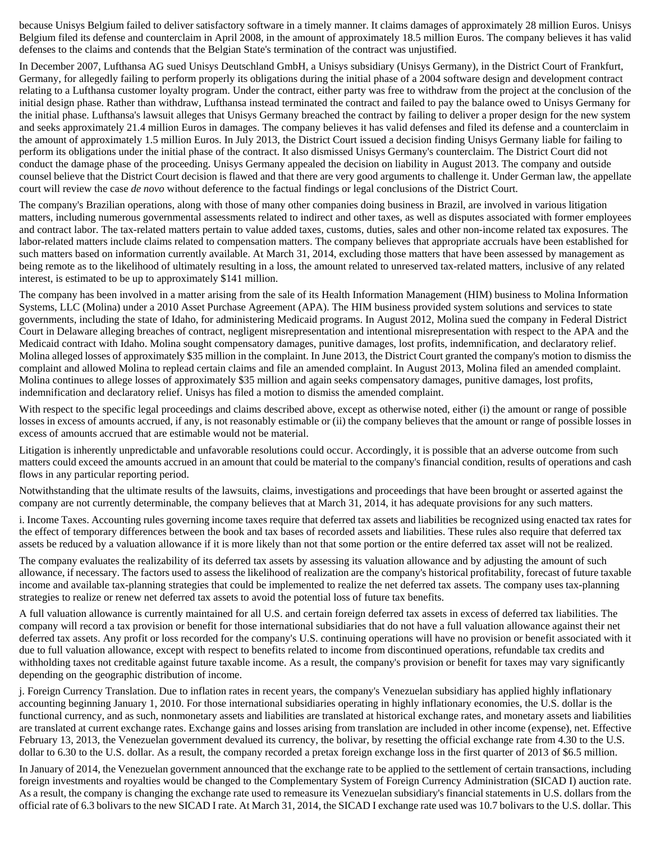because Unisys Belgium failed to deliver satisfactory software in a timely manner. It claims damages of approximately 28 million Euros. Unisys Belgium filed its defense and counterclaim in April 2008, in the amount of approximately 18.5 million Euros. The company believes it has valid defenses to the claims and contends that the Belgian State's termination of the contract was unjustified.

In December 2007, Lufthansa AG sued Unisys Deutschland GmbH, a Unisys subsidiary (Unisys Germany), in the District Court of Frankfurt, Germany, for allegedly failing to perform properly its obligations during the initial phase of a 2004 software design and development contract relating to a Lufthansa customer loyalty program. Under the contract, either party was free to withdraw from the project at the conclusion of the initial design phase. Rather than withdraw, Lufthansa instead terminated the contract and failed to pay the balance owed to Unisys Germany for the initial phase. Lufthansa's lawsuit alleges that Unisys Germany breached the contract by failing to deliver a proper design for the new system and seeks approximately 21.4 million Euros in damages. The company believes it has valid defenses and filed its defense and a counterclaim in the amount of approximately 1.5 million Euros. In July 2013, the District Court issued a decision finding Unisys Germany liable for failing to perform its obligations under the initial phase of the contract. It also dismissed Unisys Germany's counterclaim. The District Court did not conduct the damage phase of the proceeding. Unisys Germany appealed the decision on liability in August 2013. The company and outside counsel believe that the District Court decision is flawed and that there are very good arguments to challenge it. Under German law, the appellate court will review the case *de novo* without deference to the factual findings or legal conclusions of the District Court.

The company's Brazilian operations, along with those of many other companies doing business in Brazil, are involved in various litigation matters, including numerous governmental assessments related to indirect and other taxes, as well as disputes associated with former employees and contract labor. The tax-related matters pertain to value added taxes, customs, duties, sales and other non-income related tax exposures. The labor-related matters include claims related to compensation matters. The company believes that appropriate accruals have been established for such matters based on information currently available. At March 31, 2014, excluding those matters that have been assessed by management as being remote as to the likelihood of ultimately resulting in a loss, the amount related to unreserved tax-related matters, inclusive of any related interest, is estimated to be up to approximately \$141 million.

The company has been involved in a matter arising from the sale of its Health Information Management (HIM) business to Molina Information Systems, LLC (Molina) under a 2010 Asset Purchase Agreement (APA). The HIM business provided system solutions and services to state governments, including the state of Idaho, for administering Medicaid programs. In August 2012, Molina sued the company in Federal District Court in Delaware alleging breaches of contract, negligent misrepresentation and intentional misrepresentation with respect to the APA and the Medicaid contract with Idaho. Molina sought compensatory damages, punitive damages, lost profits, indemnification, and declaratory relief. Molina alleged losses of approximately \$35 million in the complaint. In June 2013, the District Court granted the company's motion to dismiss the complaint and allowed Molina to replead certain claims and file an amended complaint. In August 2013, Molina filed an amended complaint. Molina continues to allege losses of approximately \$35 million and again seeks compensatory damages, punitive damages, lost profits, indemnification and declaratory relief. Unisys has filed a motion to dismiss the amended complaint.

With respect to the specific legal proceedings and claims described above, except as otherwise noted, either (i) the amount or range of possible losses in excess of amounts accrued, if any, is not reasonably estimable or (ii) the company believes that the amount or range of possible losses in excess of amounts accrued that are estimable would not be material.

Litigation is inherently unpredictable and unfavorable resolutions could occur. Accordingly, it is possible that an adverse outcome from such matters could exceed the amounts accrued in an amount that could be material to the company's financial condition, results of operations and cash flows in any particular reporting period.

Notwithstanding that the ultimate results of the lawsuits, claims, investigations and proceedings that have been brought or asserted against the company are not currently determinable, the company believes that at March 31, 2014, it has adequate provisions for any such matters.

i. Income Taxes. Accounting rules governing income taxes require that deferred tax assets and liabilities be recognized using enacted tax rates for the effect of temporary differences between the book and tax bases of recorded assets and liabilities. These rules also require that deferred tax assets be reduced by a valuation allowance if it is more likely than not that some portion or the entire deferred tax asset will not be realized.

The company evaluates the realizability of its deferred tax assets by assessing its valuation allowance and by adjusting the amount of such allowance, if necessary. The factors used to assess the likelihood of realization are the company's historical profitability, forecast of future taxable income and available tax-planning strategies that could be implemented to realize the net deferred tax assets. The company uses tax-planning strategies to realize or renew net deferred tax assets to avoid the potential loss of future tax benefits.

A full valuation allowance is currently maintained for all U.S. and certain foreign deferred tax assets in excess of deferred tax liabilities. The company will record a tax provision or benefit for those international subsidiaries that do not have a full valuation allowance against their net deferred tax assets. Any profit or loss recorded for the company's U.S. continuing operations will have no provision or benefit associated with it due to full valuation allowance, except with respect to benefits related to income from discontinued operations, refundable tax credits and withholding taxes not creditable against future taxable income. As a result, the company's provision or benefit for taxes may vary significantly depending on the geographic distribution of income.

j. Foreign Currency Translation. Due to inflation rates in recent years, the company's Venezuelan subsidiary has applied highly inflationary accounting beginning January 1, 2010. For those international subsidiaries operating in highly inflationary economies, the U.S. dollar is the functional currency, and as such, nonmonetary assets and liabilities are translated at historical exchange rates, and monetary assets and liabilities are translated at current exchange rates. Exchange gains and losses arising from translation are included in other income (expense), net. Effective February 13, 2013, the Venezuelan government devalued its currency, the bolivar, by resetting the official exchange rate from 4.30 to the U.S. dollar to 6.30 to the U.S. dollar. As a result, the company recorded a pretax foreign exchange loss in the first quarter of 2013 of \$6.5 million.

In January of 2014, the Venezuelan government announced that the exchange rate to be applied to the settlement of certain transactions, including foreign investments and royalties would be changed to the Complementary System of Foreign Currency Administration (SICAD I) auction rate. As a result, the company is changing the exchange rate used to remeasure its Venezuelan subsidiary's financial statements in U.S. dollars from the official rate of 6.3 bolivars to the new SICAD I rate. At March 31, 2014, the SICAD I exchange rate used was 10.7 bolivars to the U.S. dollar. This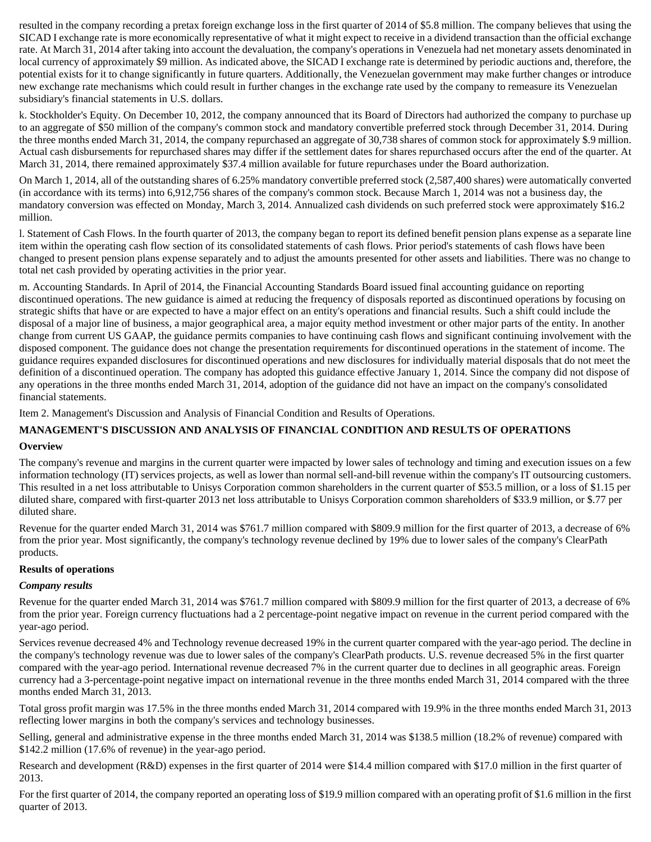resulted in the company recording a pretax foreign exchange loss in the first quarter of 2014 of \$5.8 million. The company believes that using the SICAD I exchange rate is more economically representative of what it might expect to receive in a dividend transaction than the official exchange rate. At March 31, 2014 after taking into account the devaluation, the company's operations in Venezuela had net monetary assets denominated in local currency of approximately \$9 million. As indicated above, the SICAD I exchange rate is determined by periodic auctions and, therefore, the potential exists for it to change significantly in future quarters. Additionally, the Venezuelan government may make further changes or introduce new exchange rate mechanisms which could result in further changes in the exchange rate used by the company to remeasure its Venezuelan subsidiary's financial statements in U.S. dollars.

k. Stockholder's Equity. On December 10, 2012, the company announced that its Board of Directors had authorized the company to purchase up to an aggregate of \$50 million of the company's common stock and mandatory convertible preferred stock through December 31, 2014. During the three months ended March 31, 2014, the company repurchased an aggregate of 30,738 shares of common stock for approximately \$.9 million. Actual cash disbursements for repurchased shares may differ if the settlement dates for shares repurchased occurs after the end of the quarter. At March 31, 2014, there remained approximately \$37.4 million available for future repurchases under the Board authorization.

On March 1, 2014, all of the outstanding shares of 6.25% mandatory convertible preferred stock (2,587,400 shares) were automatically converted (in accordance with its terms) into 6,912,756 shares of the company's common stock. Because March 1, 2014 was not a business day, the mandatory conversion was effected on Monday, March 3, 2014. Annualized cash dividends on such preferred stock were approximately \$16.2 million.

l. Statement of Cash Flows. In the fourth quarter of 2013, the company began to report its defined benefit pension plans expense as a separate line item within the operating cash flow section of its consolidated statements of cash flows. Prior period's statements of cash flows have been changed to present pension plans expense separately and to adjust the amounts presented for other assets and liabilities. There was no change to total net cash provided by operating activities in the prior year.

m. Accounting Standards. In April of 2014, the Financial Accounting Standards Board issued final accounting guidance on reporting discontinued operations. The new guidance is aimed at reducing the frequency of disposals reported as discontinued operations by focusing on strategic shifts that have or are expected to have a major effect on an entity's operations and financial results. Such a shift could include the disposal of a major line of business, a major geographical area, a major equity method investment or other major parts of the entity. In another change from current US GAAP, the guidance permits companies to have continuing cash flows and significant continuing involvement with the disposed component. The guidance does not change the presentation requirements for discontinued operations in the statement of income. The guidance requires expanded disclosures for discontinued operations and new disclosures for individually material disposals that do not meet the definition of a discontinued operation. The company has adopted this guidance effective January 1, 2014. Since the company did not dispose of any operations in the three months ended March 31, 2014, adoption of the guidance did not have an impact on the company's consolidated financial statements.

Item 2. Management's Discussion and Analysis of Financial Condition and Results of Operations.

## **MANAGEMENT'S DISCUSSION AND ANALYSIS OF FINANCIAL CONDITION AND RESULTS OF OPERATIONS**

#### **Overview**

The company's revenue and margins in the current quarter were impacted by lower sales of technology and timing and execution issues on a few information technology (IT) services projects, as well as lower than normal sell-and-bill revenue within the company's IT outsourcing customers. This resulted in a net loss attributable to Unisys Corporation common shareholders in the current quarter of \$53.5 million, or a loss of \$1.15 per diluted share, compared with first-quarter 2013 net loss attributable to Unisys Corporation common shareholders of \$33.9 million, or \$.77 per diluted share.

Revenue for the quarter ended March 31, 2014 was \$761.7 million compared with \$809.9 million for the first quarter of 2013, a decrease of 6% from the prior year. Most significantly, the company's technology revenue declined by 19% due to lower sales of the company's ClearPath products.

#### **Results of operations**

#### *Company results*

Revenue for the quarter ended March 31, 2014 was \$761.7 million compared with \$809.9 million for the first quarter of 2013, a decrease of 6% from the prior year. Foreign currency fluctuations had a 2 percentage-point negative impact on revenue in the current period compared with the year-ago period.

Services revenue decreased 4% and Technology revenue decreased 19% in the current quarter compared with the year-ago period. The decline in the company's technology revenue was due to lower sales of the company's ClearPath products. U.S. revenue decreased 5% in the first quarter compared with the year-ago period. International revenue decreased 7% in the current quarter due to declines in all geographic areas. Foreign currency had a 3-percentage-point negative impact on international revenue in the three months ended March 31, 2014 compared with the three months ended March 31, 2013.

Total gross profit margin was 17.5% in the three months ended March 31, 2014 compared with 19.9% in the three months ended March 31, 2013 reflecting lower margins in both the company's services and technology businesses.

Selling, general and administrative expense in the three months ended March 31, 2014 was \$138.5 million (18.2% of revenue) compared with \$142.2 million (17.6% of revenue) in the year-ago period.

Research and development (R&D) expenses in the first quarter of 2014 were \$14.4 million compared with \$17.0 million in the first quarter of 2013.

For the first quarter of 2014, the company reported an operating loss of \$19.9 million compared with an operating profit of \$1.6 million in the first quarter of 2013.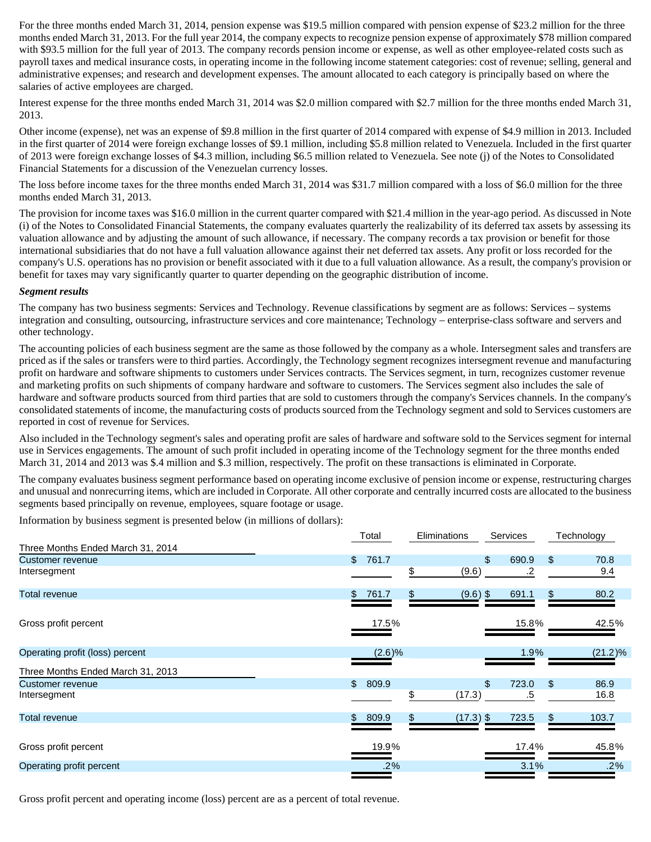For the three months ended March 31, 2014, pension expense was \$19.5 million compared with pension expense of \$23.2 million for the three months ended March 31, 2013. For the full year 2014, the company expects to recognize pension expense of approximately \$78 million compared with \$93.5 million for the full year of 2013. The company records pension income or expense, as well as other employee-related costs such as payroll taxes and medical insurance costs, in operating income in the following income statement categories: cost of revenue; selling, general and administrative expenses; and research and development expenses. The amount allocated to each category is principally based on where the salaries of active employees are charged.

Interest expense for the three months ended March 31, 2014 was \$2.0 million compared with \$2.7 million for the three months ended March 31, 2013.

Other income (expense), net was an expense of \$9.8 million in the first quarter of 2014 compared with expense of \$4.9 million in 2013. Included in the first quarter of 2014 were foreign exchange losses of \$9.1 million, including \$5.8 million related to Venezuela. Included in the first quarter of 2013 were foreign exchange losses of \$4.3 million, including \$6.5 million related to Venezuela. See note (j) of the Notes to Consolidated Financial Statements for a discussion of the Venezuelan currency losses.

The loss before income taxes for the three months ended March 31, 2014 was \$31.7 million compared with a loss of \$6.0 million for the three months ended March 31, 2013.

The provision for income taxes was \$16.0 million in the current quarter compared with \$21.4 million in the year-ago period. As discussed in Note (i) of the Notes to Consolidated Financial Statements, the company evaluates quarterly the realizability of its deferred tax assets by assessing its valuation allowance and by adjusting the amount of such allowance, if necessary. The company records a tax provision or benefit for those international subsidiaries that do not have a full valuation allowance against their net deferred tax assets. Any profit or loss recorded for the company's U.S. operations has no provision or benefit associated with it due to a full valuation allowance. As a result, the company's provision or benefit for taxes may vary significantly quarter to quarter depending on the geographic distribution of income.

#### *Segment results*

The company has two business segments: Services and Technology. Revenue classifications by segment are as follows: Services – systems integration and consulting, outsourcing, infrastructure services and core maintenance; Technology – enterprise-class software and servers and other technology.

The accounting policies of each business segment are the same as those followed by the company as a whole. Intersegment sales and transfers are priced as if the sales or transfers were to third parties. Accordingly, the Technology segment recognizes intersegment revenue and manufacturing profit on hardware and software shipments to customers under Services contracts. The Services segment, in turn, recognizes customer revenue and marketing profits on such shipments of company hardware and software to customers. The Services segment also includes the sale of hardware and software products sourced from third parties that are sold to customers through the company's Services channels. In the company's consolidated statements of income, the manufacturing costs of products sourced from the Technology segment and sold to Services customers are reported in cost of revenue for Services.

Also included in the Technology segment's sales and operating profit are sales of hardware and software sold to the Services segment for internal use in Services engagements. The amount of such profit included in operating income of the Technology segment for the three months ended March 31, 2014 and 2013 was \$.4 million and \$.3 million, respectively. The profit on these transactions is eliminated in Corporate.

The company evaluates business segment performance based on operating income exclusive of pension income or expense, restructuring charges and unusual and nonrecurring items, which are included in Corporate. All other corporate and centrally incurred costs are allocated to the business segments based principally on revenue, employees, square footage or usage.

Information by business segment is presented below (in millions of dollars):

|                                   | Total                 | Eliminations      | Services    | Technology  |
|-----------------------------------|-----------------------|-------------------|-------------|-------------|
| Three Months Ended March 31, 2014 |                       |                   |             |             |
| Customer revenue                  | 761.7<br>$\mathbb{S}$ |                   | \$<br>690.9 | 70.8<br>\$  |
| Intersegment                      |                       | \$<br>(9.6)       | .2          | 9.4         |
| <b>Total revenue</b>              | 761.7<br>S            | $(9.6)$ \$<br>\$  | 691.1       | 80.2<br>\$  |
| Gross profit percent              | 17.5%                 |                   | 15.8%       | 42.5%       |
| Operating profit (loss) percent   | (2.6)%                |                   | 1.9%        | $(21.2)\%$  |
| Three Months Ended March 31, 2013 |                       |                   |             |             |
| Customer revenue                  | 809.9<br>$\mathbb{S}$ |                   | \$<br>723.0 | \$<br>86.9  |
| Intersegment                      |                       | \$<br>(17.3)      | .5          | 16.8        |
| <b>Total revenue</b>              | 809.9<br>\$           | $(17.3)$ \$<br>\$ | 723.5       | 103.7<br>\$ |
| Gross profit percent              | 19.9%                 |                   | 17.4%       | 45.8%       |
| Operating profit percent          | $.2\%$                |                   | 3.1%        | .2%         |
|                                   |                       |                   |             |             |

Gross profit percent and operating income (loss) percent are as a percent of total revenue.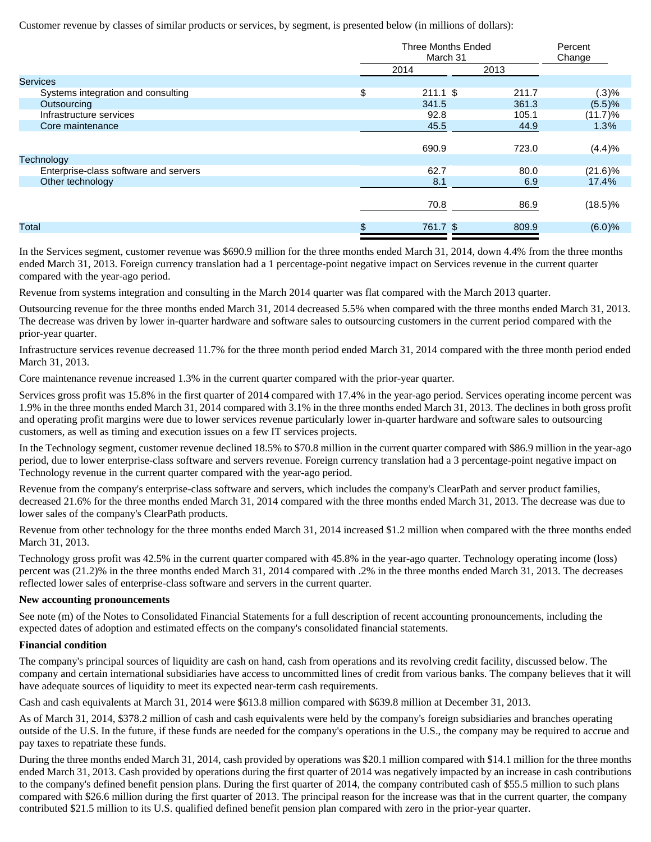Customer revenue by classes of similar products or services, by segment, is presented below (in millions of dollars):

|                                       | Three Months Ended<br>March 31 |       |            |
|---------------------------------------|--------------------------------|-------|------------|
|                                       | 2014                           | 2013  |            |
| <b>Services</b>                       |                                |       |            |
| Systems integration and consulting    | \$<br>$211.1$ \$               | 211.7 | (.3)%      |
| Outsourcing                           | 341.5                          | 361.3 | (5.5)%     |
| Infrastructure services               | 92.8                           | 105.1 | (11.7)%    |
| Core maintenance                      | 45.5                           | 44.9  | 1.3%       |
|                                       |                                |       |            |
|                                       | 690.9                          | 723.0 | (4.4)%     |
| Technology                            |                                |       |            |
| Enterprise-class software and servers | 62.7                           | 80.0  | (21.6)%    |
| Other technology                      | 8.1                            | 6.9   | 17.4%      |
|                                       |                                |       |            |
|                                       | 70.8                           | 86.9  | $(18.5)\%$ |
|                                       |                                |       |            |
| Total                                 | 761.7 \$                       | 809.9 | (6.0)%     |
|                                       |                                |       |            |

In the Services segment, customer revenue was \$690.9 million for the three months ended March 31, 2014, down 4.4% from the three months ended March 31, 2013. Foreign currency translation had a 1 percentage-point negative impact on Services revenue in the current quarter compared with the year-ago period.

Revenue from systems integration and consulting in the March 2014 quarter was flat compared with the March 2013 quarter.

Outsourcing revenue for the three months ended March 31, 2014 decreased 5.5% when compared with the three months ended March 31, 2013. The decrease was driven by lower in-quarter hardware and software sales to outsourcing customers in the current period compared with the prior-year quarter.

Infrastructure services revenue decreased 11.7% for the three month period ended March 31, 2014 compared with the three month period ended March 31, 2013.

Core maintenance revenue increased 1.3% in the current quarter compared with the prior-year quarter.

Services gross profit was 15.8% in the first quarter of 2014 compared with 17.4% in the year-ago period. Services operating income percent was 1.9% in the three months ended March 31, 2014 compared with 3.1% in the three months ended March 31, 2013. The declines in both gross profit and operating profit margins were due to lower services revenue particularly lower in-quarter hardware and software sales to outsourcing customers, as well as timing and execution issues on a few IT services projects.

In the Technology segment, customer revenue declined 18.5% to \$70.8 million in the current quarter compared with \$86.9 million in the year-ago period, due to lower enterprise-class software and servers revenue. Foreign currency translation had a 3 percentage-point negative impact on Technology revenue in the current quarter compared with the year-ago period.

Revenue from the company's enterprise-class software and servers, which includes the company's ClearPath and server product families, decreased 21.6% for the three months ended March 31, 2014 compared with the three months ended March 31, 2013. The decrease was due to lower sales of the company's ClearPath products.

Revenue from other technology for the three months ended March 31, 2014 increased \$1.2 million when compared with the three months ended March 31, 2013.

Technology gross profit was 42.5% in the current quarter compared with 45.8% in the year-ago quarter. Technology operating income (loss) percent was (21.2)% in the three months ended March 31, 2014 compared with .2% in the three months ended March 31, 2013. The decreases reflected lower sales of enterprise-class software and servers in the current quarter.

#### **New accounting pronouncements**

See note (m) of the Notes to Consolidated Financial Statements for a full description of recent accounting pronouncements, including the expected dates of adoption and estimated effects on the company's consolidated financial statements.

#### **Financial condition**

The company's principal sources of liquidity are cash on hand, cash from operations and its revolving credit facility, discussed below. The company and certain international subsidiaries have access to uncommitted lines of credit from various banks. The company believes that it will have adequate sources of liquidity to meet its expected near-term cash requirements.

Cash and cash equivalents at March 31, 2014 were \$613.8 million compared with \$639.8 million at December 31, 2013.

As of March 31, 2014, \$378.2 million of cash and cash equivalents were held by the company's foreign subsidiaries and branches operating outside of the U.S. In the future, if these funds are needed for the company's operations in the U.S., the company may be required to accrue and pay taxes to repatriate these funds.

During the three months ended March 31, 2014, cash provided by operations was \$20.1 million compared with \$14.1 million for the three months ended March 31, 2013. Cash provided by operations during the first quarter of 2014 was negatively impacted by an increase in cash contributions to the company's defined benefit pension plans. During the first quarter of 2014, the company contributed cash of \$55.5 million to such plans compared with \$26.6 million during the first quarter of 2013. The principal reason for the increase was that in the current quarter, the company contributed \$21.5 million to its U.S. qualified defined benefit pension plan compared with zero in the prior-year quarter.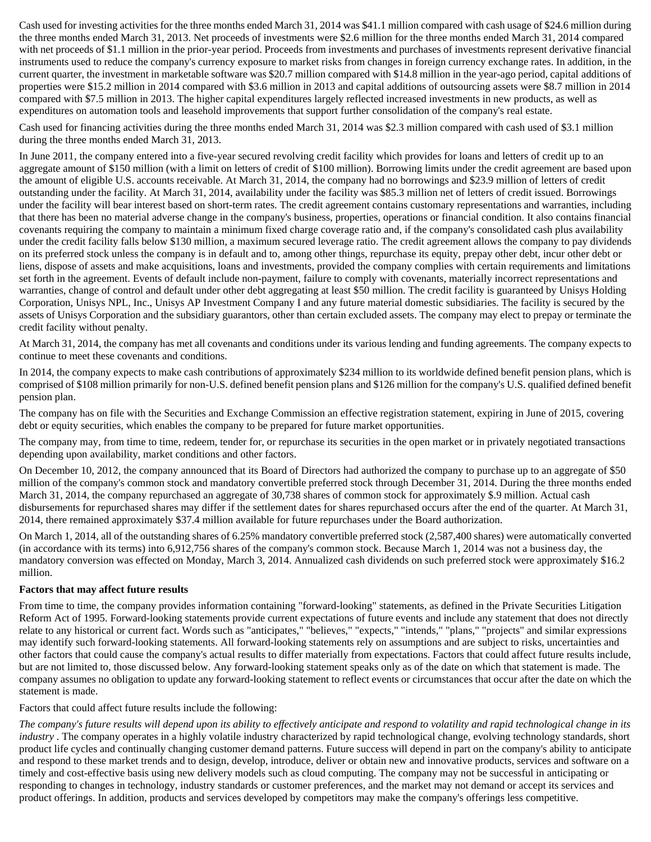Cash used for investing activities for the three months ended March 31, 2014 was \$41.1 million compared with cash usage of \$24.6 million during the three months ended March 31, 2013. Net proceeds of investments were \$2.6 million for the three months ended March 31, 2014 compared with net proceeds of \$1.1 million in the prior-year period. Proceeds from investments and purchases of investments represent derivative financial instruments used to reduce the company's currency exposure to market risks from changes in foreign currency exchange rates. In addition, in the current quarter, the investment in marketable software was \$20.7 million compared with \$14.8 million in the year-ago period, capital additions of properties were \$15.2 million in 2014 compared with \$3.6 million in 2013 and capital additions of outsourcing assets were \$8.7 million in 2014 compared with \$7.5 million in 2013. The higher capital expenditures largely reflected increased investments in new products, as well as expenditures on automation tools and leasehold improvements that support further consolidation of the company's real estate.

Cash used for financing activities during the three months ended March 31, 2014 was \$2.3 million compared with cash used of \$3.1 million during the three months ended March 31, 2013.

In June 2011, the company entered into a five-year secured revolving credit facility which provides for loans and letters of credit up to an aggregate amount of \$150 million (with a limit on letters of credit of \$100 million). Borrowing limits under the credit agreement are based upon the amount of eligible U.S. accounts receivable. At March 31, 2014, the company had no borrowings and \$23.9 million of letters of credit outstanding under the facility. At March 31, 2014, availability under the facility was \$85.3 million net of letters of credit issued. Borrowings under the facility will bear interest based on short-term rates. The credit agreement contains customary representations and warranties, including that there has been no material adverse change in the company's business, properties, operations or financial condition. It also contains financial covenants requiring the company to maintain a minimum fixed charge coverage ratio and, if the company's consolidated cash plus availability under the credit facility falls below \$130 million, a maximum secured leverage ratio. The credit agreement allows the company to pay dividends on its preferred stock unless the company is in default and to, among other things, repurchase its equity, prepay other debt, incur other debt or liens, dispose of assets and make acquisitions, loans and investments, provided the company complies with certain requirements and limitations set forth in the agreement. Events of default include non-payment, failure to comply with covenants, materially incorrect representations and warranties, change of control and default under other debt aggregating at least \$50 million. The credit facility is guaranteed by Unisys Holding Corporation, Unisys NPL, Inc., Unisys AP Investment Company I and any future material domestic subsidiaries. The facility is secured by the assets of Unisys Corporation and the subsidiary guarantors, other than certain excluded assets. The company may elect to prepay or terminate the credit facility without penalty.

At March 31, 2014, the company has met all covenants and conditions under its various lending and funding agreements. The company expects to continue to meet these covenants and conditions.

In 2014, the company expects to make cash contributions of approximately \$234 million to its worldwide defined benefit pension plans, which is comprised of \$108 million primarily for non-U.S. defined benefit pension plans and \$126 million for the company's U.S. qualified defined benefit pension plan.

The company has on file with the Securities and Exchange Commission an effective registration statement, expiring in June of 2015, covering debt or equity securities, which enables the company to be prepared for future market opportunities.

The company may, from time to time, redeem, tender for, or repurchase its securities in the open market or in privately negotiated transactions depending upon availability, market conditions and other factors.

On December 10, 2012, the company announced that its Board of Directors had authorized the company to purchase up to an aggregate of \$50 million of the company's common stock and mandatory convertible preferred stock through December 31, 2014. During the three months ended March 31, 2014, the company repurchased an aggregate of 30,738 shares of common stock for approximately \$.9 million. Actual cash disbursements for repurchased shares may differ if the settlement dates for shares repurchased occurs after the end of the quarter. At March 31, 2014, there remained approximately \$37.4 million available for future repurchases under the Board authorization.

On March 1, 2014, all of the outstanding shares of 6.25% mandatory convertible preferred stock (2,587,400 shares) were automatically converted (in accordance with its terms) into 6,912,756 shares of the company's common stock. Because March 1, 2014 was not a business day, the mandatory conversion was effected on Monday, March 3, 2014. Annualized cash dividends on such preferred stock were approximately \$16.2 million.

#### **Factors that may affect future results**

From time to time, the company provides information containing "forward-looking" statements, as defined in the Private Securities Litigation Reform Act of 1995. Forward-looking statements provide current expectations of future events and include any statement that does not directly relate to any historical or current fact. Words such as "anticipates," "believes," "expects," "intends," "plans," "projects" and similar expressions may identify such forward-looking statements. All forward-looking statements rely on assumptions and are subject to risks, uncertainties and other factors that could cause the company's actual results to differ materially from expectations. Factors that could affect future results include, but are not limited to, those discussed below. Any forward-looking statement speaks only as of the date on which that statement is made. The company assumes no obligation to update any forward-looking statement to reflect events or circumstances that occur after the date on which the statement is made.

Factors that could affect future results include the following:

*The company's future results will depend upon its ability to effectively anticipate and respond to volatility and rapid technological change in its industry .* The company operates in a highly volatile industry characterized by rapid technological change, evolving technology standards, short product life cycles and continually changing customer demand patterns. Future success will depend in part on the company's ability to anticipate and respond to these market trends and to design, develop, introduce, deliver or obtain new and innovative products, services and software on a timely and cost-effective basis using new delivery models such as cloud computing. The company may not be successful in anticipating or responding to changes in technology, industry standards or customer preferences, and the market may not demand or accept its services and product offerings. In addition, products and services developed by competitors may make the company's offerings less competitive.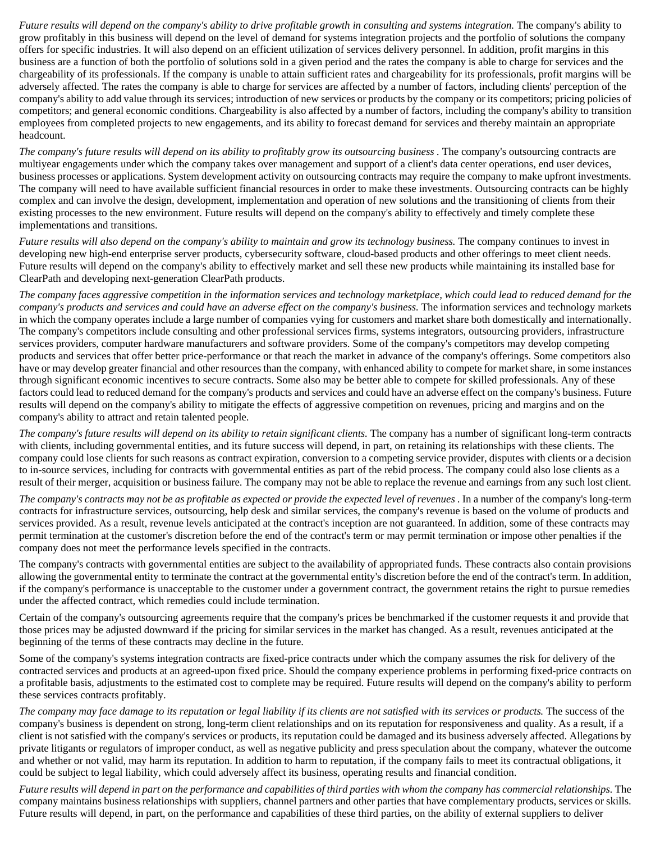*Future results will depend on the company's ability to drive profitable growth in consulting and systems integration.* The company's ability to grow profitably in this business will depend on the level of demand for systems integration projects and the portfolio of solutions the company offers for specific industries. It will also depend on an efficient utilization of services delivery personnel. In addition, profit margins in this business are a function of both the portfolio of solutions sold in a given period and the rates the company is able to charge for services and the chargeability of its professionals. If the company is unable to attain sufficient rates and chargeability for its professionals, profit margins will be adversely affected. The rates the company is able to charge for services are affected by a number of factors, including clients' perception of the company's ability to add value through its services; introduction of new services or products by the company or its competitors; pricing policies of competitors; and general economic conditions. Chargeability is also affected by a number of factors, including the company's ability to transition employees from completed projects to new engagements, and its ability to forecast demand for services and thereby maintain an appropriate headcount.

*The company's future results will depend on its ability to profitably grow its outsourcing business .* The company's outsourcing contracts are multiyear engagements under which the company takes over management and support of a client's data center operations, end user devices, business processes or applications. System development activity on outsourcing contracts may require the company to make upfront investments. The company will need to have available sufficient financial resources in order to make these investments. Outsourcing contracts can be highly complex and can involve the design, development, implementation and operation of new solutions and the transitioning of clients from their existing processes to the new environment. Future results will depend on the company's ability to effectively and timely complete these implementations and transitions.

*Future results will also depend on the company's ability to maintain and grow its technology business.* The company continues to invest in developing new high-end enterprise server products, cybersecurity software, cloud-based products and other offerings to meet client needs. Future results will depend on the company's ability to effectively market and sell these new products while maintaining its installed base for ClearPath and developing next-generation ClearPath products.

*The company faces aggressive competition in the information services and technology marketplace, which could lead to reduced demand for the company's products and services and could have an adverse effect on the company's business.* The information services and technology markets in which the company operates include a large number of companies vying for customers and market share both domestically and internationally. The company's competitors include consulting and other professional services firms, systems integrators, outsourcing providers, infrastructure services providers, computer hardware manufacturers and software providers. Some of the company's competitors may develop competing products and services that offer better price-performance or that reach the market in advance of the company's offerings. Some competitors also have or may develop greater financial and other resources than the company, with enhanced ability to compete for market share, in some instances through significant economic incentives to secure contracts. Some also may be better able to compete for skilled professionals. Any of these factors could lead to reduced demand for the company's products and services and could have an adverse effect on the company's business. Future results will depend on the company's ability to mitigate the effects of aggressive competition on revenues, pricing and margins and on the company's ability to attract and retain talented people.

*The company's future results will depend on its ability to retain significant clients.* The company has a number of significant long-term contracts with clients, including governmental entities, and its future success will depend, in part, on retaining its relationships with these clients. The company could lose clients for such reasons as contract expiration, conversion to a competing service provider, disputes with clients or a decision to in-source services, including for contracts with governmental entities as part of the rebid process. The company could also lose clients as a result of their merger, acquisition or business failure. The company may not be able to replace the revenue and earnings from any such lost client.

*The company's contracts may not be as profitable as expected or provide the expected level of revenues* . In a number of the company's long-term contracts for infrastructure services, outsourcing, help desk and similar services, the company's revenue is based on the volume of products and services provided. As a result, revenue levels anticipated at the contract's inception are not guaranteed. In addition, some of these contracts may permit termination at the customer's discretion before the end of the contract's term or may permit termination or impose other penalties if the company does not meet the performance levels specified in the contracts.

The company's contracts with governmental entities are subject to the availability of appropriated funds. These contracts also contain provisions allowing the governmental entity to terminate the contract at the governmental entity's discretion before the end of the contract's term. In addition, if the company's performance is unacceptable to the customer under a government contract, the government retains the right to pursue remedies under the affected contract, which remedies could include termination.

Certain of the company's outsourcing agreements require that the company's prices be benchmarked if the customer requests it and provide that those prices may be adjusted downward if the pricing for similar services in the market has changed. As a result, revenues anticipated at the beginning of the terms of these contracts may decline in the future.

Some of the company's systems integration contracts are fixed-price contracts under which the company assumes the risk for delivery of the contracted services and products at an agreed-upon fixed price. Should the company experience problems in performing fixed-price contracts on a profitable basis, adjustments to the estimated cost to complete may be required. Future results will depend on the company's ability to perform these services contracts profitably.

*The company may face damage to its reputation or legal liability if its clients are not satisfied with its services or products.* The success of the company's business is dependent on strong, long-term client relationships and on its reputation for responsiveness and quality. As a result, if a client is not satisfied with the company's services or products, its reputation could be damaged and its business adversely affected. Allegations by private litigants or regulators of improper conduct, as well as negative publicity and press speculation about the company, whatever the outcome and whether or not valid, may harm its reputation. In addition to harm to reputation, if the company fails to meet its contractual obligations, it could be subject to legal liability, which could adversely affect its business, operating results and financial condition.

*Future results will depend in part on the performance and capabilities of third parties with whom the company has commercial relationships.* The company maintains business relationships with suppliers, channel partners and other parties that have complementary products, services or skills. Future results will depend, in part, on the performance and capabilities of these third parties, on the ability of external suppliers to deliver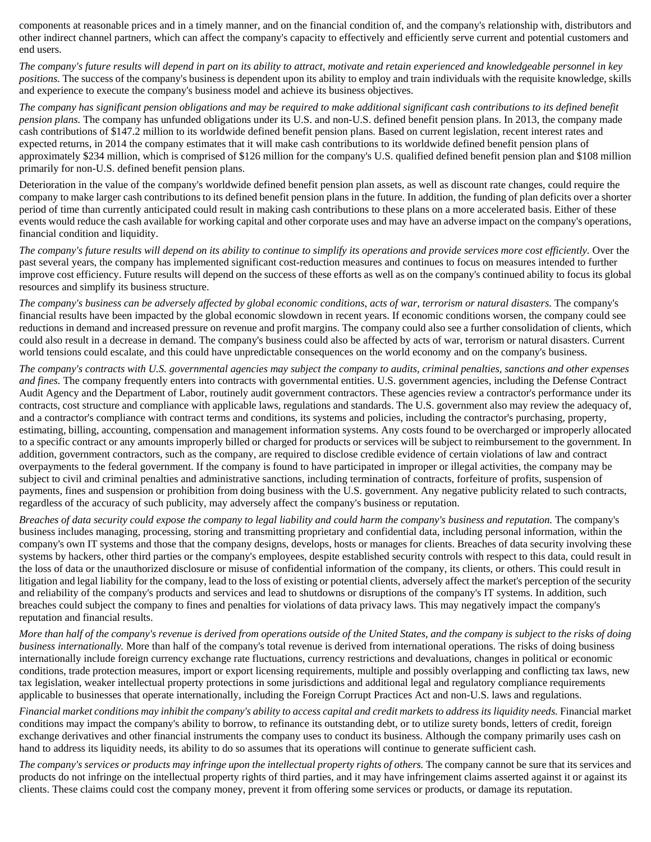components at reasonable prices and in a timely manner, and on the financial condition of, and the company's relationship with, distributors and other indirect channel partners, which can affect the company's capacity to effectively and efficiently serve current and potential customers and end users.

*The company's future results will depend in part on its ability to attract, motivate and retain experienced and knowledgeable personnel in key positions.* The success of the company's business is dependent upon its ability to employ and train individuals with the requisite knowledge, skills and experience to execute the company's business model and achieve its business objectives.

*The company has significant pension obligations and may be required to make additional significant cash contributions to its defined benefit pension plans.* The company has unfunded obligations under its U.S. and non-U.S. defined benefit pension plans. In 2013, the company made cash contributions of \$147.2 million to its worldwide defined benefit pension plans. Based on current legislation, recent interest rates and expected returns, in 2014 the company estimates that it will make cash contributions to its worldwide defined benefit pension plans of approximately \$234 million, which is comprised of \$126 million for the company's U.S. qualified defined benefit pension plan and \$108 million primarily for non-U.S. defined benefit pension plans.

Deterioration in the value of the company's worldwide defined benefit pension plan assets, as well as discount rate changes, could require the company to make larger cash contributions to its defined benefit pension plans in the future. In addition, the funding of plan deficits over a shorter period of time than currently anticipated could result in making cash contributions to these plans on a more accelerated basis. Either of these events would reduce the cash available for working capital and other corporate uses and may have an adverse impact on the company's operations, financial condition and liquidity.

*The company's future results will depend on its ability to continue to simplify its operations and provide services more cost efficiently.* Over the past several years, the company has implemented significant cost-reduction measures and continues to focus on measures intended to further improve cost efficiency. Future results will depend on the success of these efforts as well as on the company's continued ability to focus its global resources and simplify its business structure.

*The company's business can be adversely affected by global economic conditions, acts of war, terrorism or natural disasters.* The company's financial results have been impacted by the global economic slowdown in recent years. If economic conditions worsen, the company could see reductions in demand and increased pressure on revenue and profit margins. The company could also see a further consolidation of clients, which could also result in a decrease in demand. The company's business could also be affected by acts of war, terrorism or natural disasters. Current world tensions could escalate, and this could have unpredictable consequences on the world economy and on the company's business.

*The company's contracts with U.S. governmental agencies may subject the company to audits, criminal penalties, sanctions and other expenses and fines.* The company frequently enters into contracts with governmental entities. U.S. government agencies, including the Defense Contract Audit Agency and the Department of Labor, routinely audit government contractors. These agencies review a contractor's performance under its contracts, cost structure and compliance with applicable laws, regulations and standards. The U.S. government also may review the adequacy of, and a contractor's compliance with contract terms and conditions, its systems and policies, including the contractor's purchasing, property, estimating, billing, accounting, compensation and management information systems. Any costs found to be overcharged or improperly allocated to a specific contract or any amounts improperly billed or charged for products or services will be subject to reimbursement to the government. In addition, government contractors, such as the company, are required to disclose credible evidence of certain violations of law and contract overpayments to the federal government. If the company is found to have participated in improper or illegal activities, the company may be subject to civil and criminal penalties and administrative sanctions, including termination of contracts, forfeiture of profits, suspension of payments, fines and suspension or prohibition from doing business with the U.S. government. Any negative publicity related to such contracts, regardless of the accuracy of such publicity, may adversely affect the company's business or reputation.

*Breaches of data security could expose the company to legal liability and could harm the company's business and reputation.* The company's business includes managing, processing, storing and transmitting proprietary and confidential data, including personal information, within the company's own IT systems and those that the company designs, develops, hosts or manages for clients. Breaches of data security involving these systems by hackers, other third parties or the company's employees, despite established security controls with respect to this data, could result in the loss of data or the unauthorized disclosure or misuse of confidential information of the company, its clients, or others. This could result in litigation and legal liability for the company, lead to the loss of existing or potential clients, adversely affect the market's perception of the security and reliability of the company's products and services and lead to shutdowns or disruptions of the company's IT systems. In addition, such breaches could subject the company to fines and penalties for violations of data privacy laws. This may negatively impact the company's reputation and financial results.

*More than half of the company's revenue is derived from operations outside of the United States, and the company is subject to the risks of doing business internationally.* More than half of the company's total revenue is derived from international operations. The risks of doing business internationally include foreign currency exchange rate fluctuations, currency restrictions and devaluations, changes in political or economic conditions, trade protection measures, import or export licensing requirements, multiple and possibly overlapping and conflicting tax laws, new tax legislation, weaker intellectual property protections in some jurisdictions and additional legal and regulatory compliance requirements applicable to businesses that operate internationally, including the Foreign Corrupt Practices Act and non-U.S. laws and regulations.

*Financial market conditions may inhibit the company's ability to access capital and credit markets to address its liquidity needs.* Financial market conditions may impact the company's ability to borrow, to refinance its outstanding debt, or to utilize surety bonds, letters of credit, foreign exchange derivatives and other financial instruments the company uses to conduct its business. Although the company primarily uses cash on hand to address its liquidity needs, its ability to do so assumes that its operations will continue to generate sufficient cash.

*The company's services or products may infringe upon the intellectual property rights of others.* The company cannot be sure that its services and products do not infringe on the intellectual property rights of third parties, and it may have infringement claims asserted against it or against its clients. These claims could cost the company money, prevent it from offering some services or products, or damage its reputation.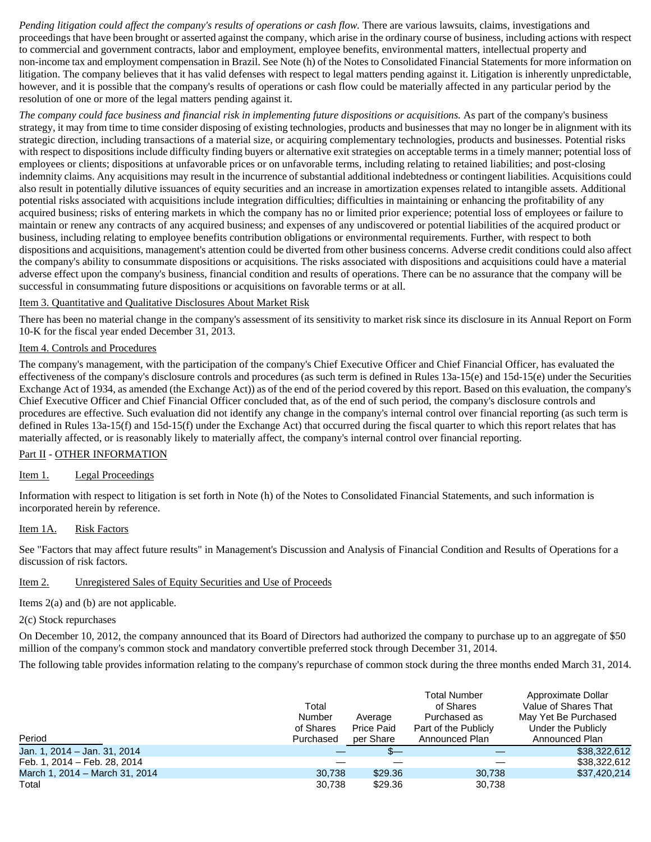*Pending litigation could affect the company's results of operations or cash flow.* There are various lawsuits, claims, investigations and proceedings that have been brought or asserted against the company, which arise in the ordinary course of business, including actions with respect to commercial and government contracts, labor and employment, employee benefits, environmental matters, intellectual property and non-income tax and employment compensation in Brazil. See Note (h) of the Notes to Consolidated Financial Statements for more information on litigation. The company believes that it has valid defenses with respect to legal matters pending against it. Litigation is inherently unpredictable, however, and it is possible that the company's results of operations or cash flow could be materially affected in any particular period by the resolution of one or more of the legal matters pending against it.

*The company could face business and financial risk in implementing future dispositions or acquisitions.* As part of the company's business strategy, it may from time to time consider disposing of existing technologies, products and businesses that may no longer be in alignment with its strategic direction, including transactions of a material size, or acquiring complementary technologies, products and businesses. Potential risks with respect to dispositions include difficulty finding buyers or alternative exit strategies on acceptable terms in a timely manner; potential loss of employees or clients; dispositions at unfavorable prices or on unfavorable terms, including relating to retained liabilities; and post-closing indemnity claims. Any acquisitions may result in the incurrence of substantial additional indebtedness or contingent liabilities. Acquisitions could also result in potentially dilutive issuances of equity securities and an increase in amortization expenses related to intangible assets. Additional potential risks associated with acquisitions include integration difficulties; difficulties in maintaining or enhancing the profitability of any acquired business; risks of entering markets in which the company has no or limited prior experience; potential loss of employees or failure to maintain or renew any contracts of any acquired business; and expenses of any undiscovered or potential liabilities of the acquired product or business, including relating to employee benefits contribution obligations or environmental requirements. Further, with respect to both dispositions and acquisitions, management's attention could be diverted from other business concerns. Adverse credit conditions could also affect the company's ability to consummate dispositions or acquisitions. The risks associated with dispositions and acquisitions could have a material adverse effect upon the company's business, financial condition and results of operations. There can be no assurance that the company will be successful in consummating future dispositions or acquisitions on favorable terms or at all.

#### Item 3. Quantitative and Qualitative Disclosures About Market Risk

There has been no material change in the company's assessment of its sensitivity to market risk since its disclosure in its Annual Report on Form 10-K for the fiscal year ended December 31, 2013.

#### Item 4. Controls and Procedures

The company's management, with the participation of the company's Chief Executive Officer and Chief Financial Officer, has evaluated the effectiveness of the company's disclosure controls and procedures (as such term is defined in Rules  $13a-15(e)$  and  $15d-15(e)$  under the Securities Exchange Act of 1934, as amended (the Exchange Act)) as of the end of the period covered by this report. Based on this evaluation, the company's Chief Executive Officer and Chief Financial Officer concluded that, as of the end of such period, the company's disclosure controls and procedures are effective. Such evaluation did not identify any change in the company's internal control over financial reporting (as such term is defined in Rules 13a-15(f) and 15d-15(f) under the Exchange Act) that occurred during the fiscal quarter to which this report relates that has materially affected, or is reasonably likely to materially affect, the company's internal control over financial reporting.

#### Part II - OTHER INFORMATION

#### Item 1. Legal Proceedings

Information with respect to litigation is set forth in Note (h) of the Notes to Consolidated Financial Statements, and such information is incorporated herein by reference.

#### Item 1A. Risk Factors

See "Factors that may affect future results" in Management's Discussion and Analysis of Financial Condition and Results of Operations for a discussion of risk factors.

#### Item 2. Unregistered Sales of Equity Securities and Use of Proceeds

Items 2(a) and (b) are not applicable.

#### 2(c) Stock repurchases

On December 10, 2012, the company announced that its Board of Directors had authorized the company to purchase up to an aggregate of \$50 million of the company's common stock and mandatory convertible preferred stock through December 31, 2014.

The following table provides information relating to the company's repurchase of common stock during the three months ended March 31, 2014.

|                                | Total<br>Number<br>of Shares | Average<br><b>Price Paid</b> | <b>Total Number</b><br>of Shares<br>Purchased as<br>Part of the Publicly | Approximate Dollar<br>Value of Shares That<br>May Yet Be Purchased<br>Under the Publicly |
|--------------------------------|------------------------------|------------------------------|--------------------------------------------------------------------------|------------------------------------------------------------------------------------------|
| Period                         | Purchased                    | per Share                    | Announced Plan                                                           | Announced Plan                                                                           |
| Jan. 1, 2014 - Jan. 31, 2014   |                              |                              |                                                                          | \$38,322,612                                                                             |
| Feb. 1, 2014 - Feb. 28, 2014   |                              |                              |                                                                          | \$38,322,612                                                                             |
| March 1, 2014 - March 31, 2014 | 30.738                       | \$29.36                      | 30.738                                                                   | \$37,420,214                                                                             |
| Total                          | 30.738                       | \$29.36                      | 30,738                                                                   |                                                                                          |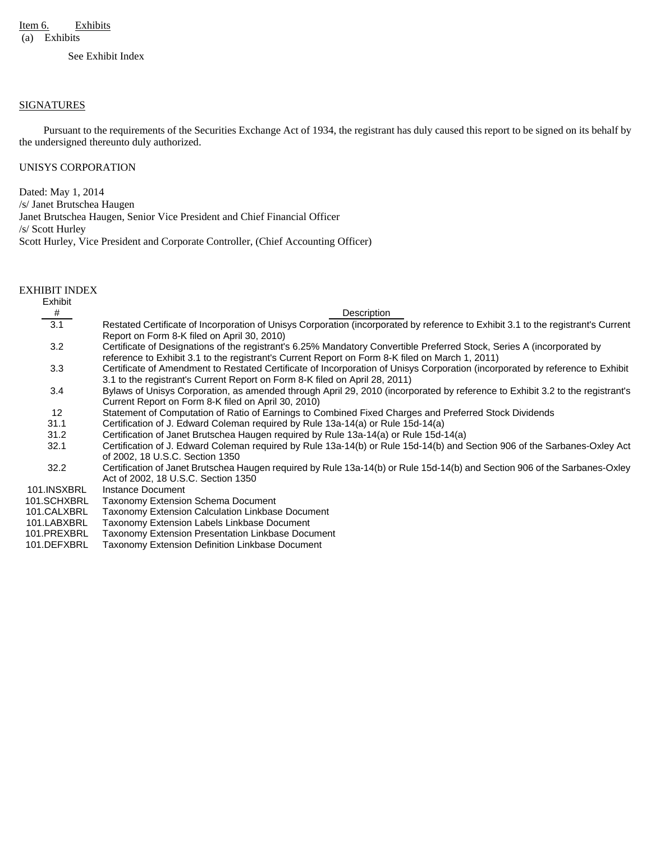(a) Exhibits

See Exhibit Index

#### **SIGNATURES**

Pursuant to the requirements of the Securities Exchange Act of 1934, the registrant has duly caused this report to be signed on its behalf by the undersigned thereunto duly authorized.

#### UNISYS CORPORATION

Dated: May 1, 2014 /s/ Janet Brutschea Haugen Janet Brutschea Haugen, Senior Vice President and Chief Financial Officer /s/ Scott Hurley Scott Hurley, Vice President and Corporate Controller, (Chief Accounting Officer)

#### EXHIBIT INDEX

| Exhibit     |                                                                                                                                                                                                                           |
|-------------|---------------------------------------------------------------------------------------------------------------------------------------------------------------------------------------------------------------------------|
| #           | Description                                                                                                                                                                                                               |
| 3.1         | Restated Certificate of Incorporation of Unisys Corporation (incorporated by reference to Exhibit 3.1 to the registrant's Current                                                                                         |
|             | Report on Form 8-K filed on April 30, 2010)                                                                                                                                                                               |
| 3.2         | Certificate of Designations of the registrant's 6.25% Mandatory Convertible Preferred Stock, Series A (incorporated by<br>reference to Exhibit 3.1 to the registrant's Current Report on Form 8-K filed on March 1, 2011) |
| 3.3         | Certificate of Amendment to Restated Certificate of Incorporation of Unisys Corporation (incorporated by reference to Exhibit                                                                                             |
|             | 3.1 to the registrant's Current Report on Form 8-K filed on April 28, 2011)                                                                                                                                               |
| 3.4         | Bylaws of Unisys Corporation, as amended through April 29, 2010 (incorporated by reference to Exhibit 3.2 to the registrant's                                                                                             |
|             | Current Report on Form 8-K filed on April 30, 2010)                                                                                                                                                                       |
| 12          | Statement of Computation of Ratio of Earnings to Combined Fixed Charges and Preferred Stock Dividends                                                                                                                     |
| 31.1        | Certification of J. Edward Coleman required by Rule 13a-14(a) or Rule 15d-14(a)                                                                                                                                           |
| 31.2        | Certification of Janet Brutschea Haugen required by Rule 13a-14(a) or Rule 15d-14(a)                                                                                                                                      |
| 32.1        | Certification of J. Edward Coleman required by Rule 13a-14(b) or Rule 15d-14(b) and Section 906 of the Sarbanes-Oxley Act                                                                                                 |
|             | of 2002, 18 U.S.C. Section 1350                                                                                                                                                                                           |
| 32.2        | Certification of Janet Brutschea Haugen required by Rule 13a-14(b) or Rule 15d-14(b) and Section 906 of the Sarbanes-Oxley                                                                                                |
|             | Act of 2002, 18 U.S.C. Section 1350                                                                                                                                                                                       |
| 101.INSXBRL | Instance Document                                                                                                                                                                                                         |
| 101.SCHXBRL | Taxonomy Extension Schema Document                                                                                                                                                                                        |
| 101.CALXBRL | Taxonomy Extension Calculation Linkbase Document                                                                                                                                                                          |
| 101.LABXBRL | Taxonomy Extension Labels Linkbase Document                                                                                                                                                                               |
| 101.PREXBRL | Taxonomy Extension Presentation Linkbase Document                                                                                                                                                                         |
| 101.DEFXBRL | Taxonomy Extension Definition Linkbase Document                                                                                                                                                                           |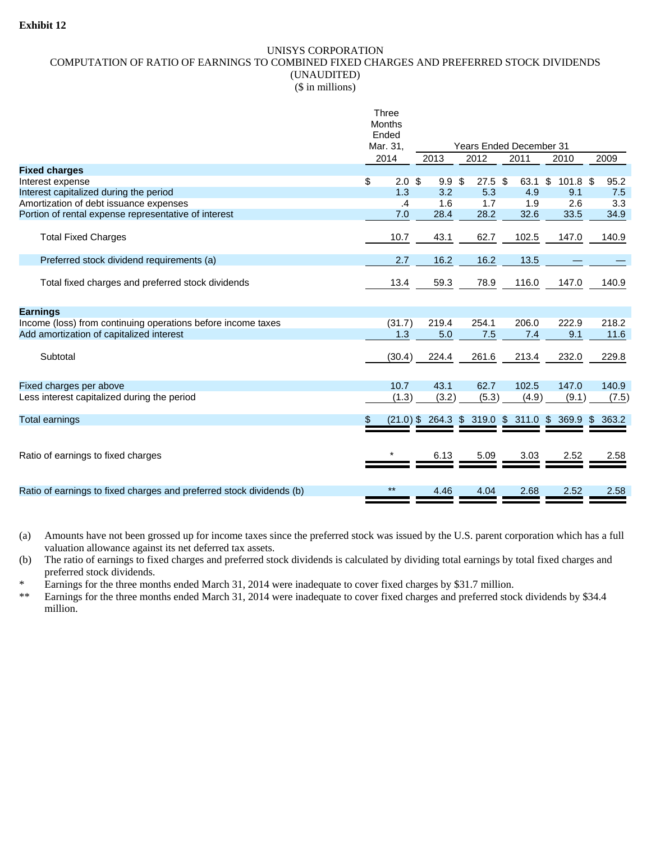#### UNISYS CORPORATION COMPUTATION OF RATIO OF EARNINGS TO COMBINED FIXED CHARGES AND PREFERRED STOCK DIVIDENDS (UNAUDITED) (\$ in millions)

|                                                                      |    | <b>Three</b><br><b>Months</b><br>Ended |       |            |                                              |                                |             |  |  |  |
|----------------------------------------------------------------------|----|----------------------------------------|-------|------------|----------------------------------------------|--------------------------------|-------------|--|--|--|
|                                                                      |    | Mar. 31,                               |       |            |                                              | <b>Years Ended December 31</b> |             |  |  |  |
|                                                                      |    | 2014                                   | 2013  | 2012       | 2011                                         | 2010                           | 2009        |  |  |  |
| <b>Fixed charges</b>                                                 |    |                                        |       |            |                                              |                                |             |  |  |  |
| Interest expense                                                     | \$ | 2.0 <sup>5</sup>                       | 9.9   | \$<br>27.5 | \$<br>63.1                                   | \$<br>101.8                    | -\$<br>95.2 |  |  |  |
| Interest capitalized during the period                               |    | 1.3                                    | 3.2   | 5.3        | 4.9                                          | 9.1                            | 7.5         |  |  |  |
| Amortization of debt issuance expenses                               |    | $\mathcal{A}$                          | 1.6   | 1.7        | 1.9                                          | 2.6                            | 3.3         |  |  |  |
| Portion of rental expense representative of interest                 |    | 7.0                                    | 28.4  | 28.2       | 32.6                                         | 33.5                           | 34.9        |  |  |  |
| <b>Total Fixed Charges</b>                                           |    | 10.7                                   | 43.1  | 62.7       | 102.5                                        | 147.0                          | 140.9       |  |  |  |
| Preferred stock dividend requirements (a)                            |    | 2.7                                    | 16.2  | 16.2       | 13.5                                         |                                |             |  |  |  |
| Total fixed charges and preferred stock dividends                    |    | 13.4                                   | 59.3  | 78.9       | 116.0                                        | 147.0                          | 140.9       |  |  |  |
| <b>Earnings</b>                                                      |    |                                        |       |            |                                              |                                |             |  |  |  |
| Income (loss) from continuing operations before income taxes         |    | (31.7)                                 | 219.4 | 254.1      | 206.0                                        | 222.9                          | 218.2       |  |  |  |
| Add amortization of capitalized interest                             |    | 1.3                                    | 5.0   | 7.5        | 7.4                                          | 9.1                            | 11.6        |  |  |  |
| Subtotal                                                             |    | (30.4)                                 | 224.4 | 261.6      | 213.4                                        | 232.0                          | 229.8       |  |  |  |
| Fixed charges per above                                              |    | 10.7                                   | 43.1  | 62.7       | 102.5                                        | 147.0                          | 140.9       |  |  |  |
| Less interest capitalized during the period                          |    | (1.3)                                  | (3.2) | (5.3)      | (4.9)                                        | (9.1)                          | (7.5)       |  |  |  |
| <b>Total earnings</b>                                                | S  |                                        |       |            | $(21.0)$ \$ 264.3 \$ 319.0 \$ 311.0 \$ 369.9 |                                | 363.2       |  |  |  |
| Ratio of earnings to fixed charges                                   |    | *                                      | 6.13  | 5.09       | 3.03                                         | 2.52                           | 2.58        |  |  |  |
| Ratio of earnings to fixed charges and preferred stock dividends (b) |    | $***$                                  | 4.46  | 4.04       | 2.68                                         | 2.52                           | 2.58        |  |  |  |

(a) Amounts have not been grossed up for income taxes since the preferred stock was issued by the U.S. parent corporation which has a full valuation allowance against its net deferred tax assets.

(b) The ratio of earnings to fixed charges and preferred stock dividends is calculated by dividing total earnings by total fixed charges and preferred stock dividends.

\* Earnings for the three months ended March 31, 2014 were inadequate to cover fixed charges by \$31.7 million.<br>\*\* Earnings for the three months ended March 31, 2014 were inadequate to cover fixed charges and preferred stoc

Earnings for the three months ended March 31, 2014 were inadequate to cover fixed charges and preferred stock dividends by \$34.4 million.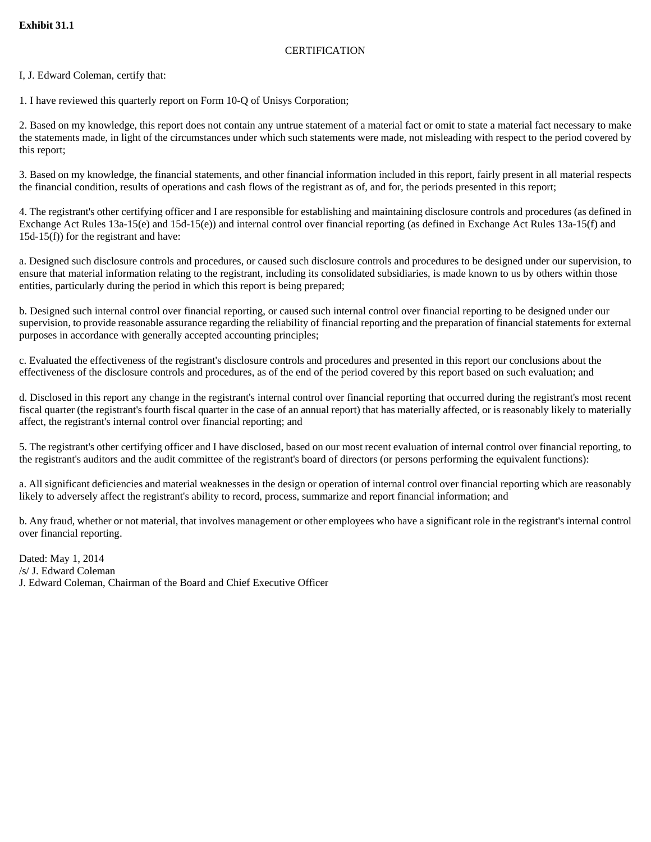#### **CERTIFICATION**

I, J. Edward Coleman, certify that:

1. I have reviewed this quarterly report on Form 10-Q of Unisys Corporation;

2. Based on my knowledge, this report does not contain any untrue statement of a material fact or omit to state a material fact necessary to make the statements made, in light of the circumstances under which such statements were made, not misleading with respect to the period covered by this report;

3. Based on my knowledge, the financial statements, and other financial information included in this report, fairly present in all material respects the financial condition, results of operations and cash flows of the registrant as of, and for, the periods presented in this report;

4. The registrant's other certifying officer and I are responsible for establishing and maintaining disclosure controls and procedures (as defined in Exchange Act Rules 13a-15(e) and 15d-15(e)) and internal control over financial reporting (as defined in Exchange Act Rules 13a-15(f) and 15d-15(f)) for the registrant and have:

a. Designed such disclosure controls and procedures, or caused such disclosure controls and procedures to be designed under our supervision, to ensure that material information relating to the registrant, including its consolidated subsidiaries, is made known to us by others within those entities, particularly during the period in which this report is being prepared;

b. Designed such internal control over financial reporting, or caused such internal control over financial reporting to be designed under our supervision, to provide reasonable assurance regarding the reliability of financial reporting and the preparation of financial statements for external purposes in accordance with generally accepted accounting principles;

c. Evaluated the effectiveness of the registrant's disclosure controls and procedures and presented in this report our conclusions about the effectiveness of the disclosure controls and procedures, as of the end of the period covered by this report based on such evaluation; and

d. Disclosed in this report any change in the registrant's internal control over financial reporting that occurred during the registrant's most recent fiscal quarter (the registrant's fourth fiscal quarter in the case of an annual report) that has materially affected, or is reasonably likely to materially affect, the registrant's internal control over financial reporting; and

5. The registrant's other certifying officer and I have disclosed, based on our most recent evaluation of internal control over financial reporting, to the registrant's auditors and the audit committee of the registrant's board of directors (or persons performing the equivalent functions):

a. All significant deficiencies and material weaknesses in the design or operation of internal control over financial reporting which are reasonably likely to adversely affect the registrant's ability to record, process, summarize and report financial information; and

b. Any fraud, whether or not material, that involves management or other employees who have a significant role in the registrant's internal control over financial reporting.

Dated: May 1, 2014 /s/ J. Edward Coleman J. Edward Coleman, Chairman of the Board and Chief Executive Officer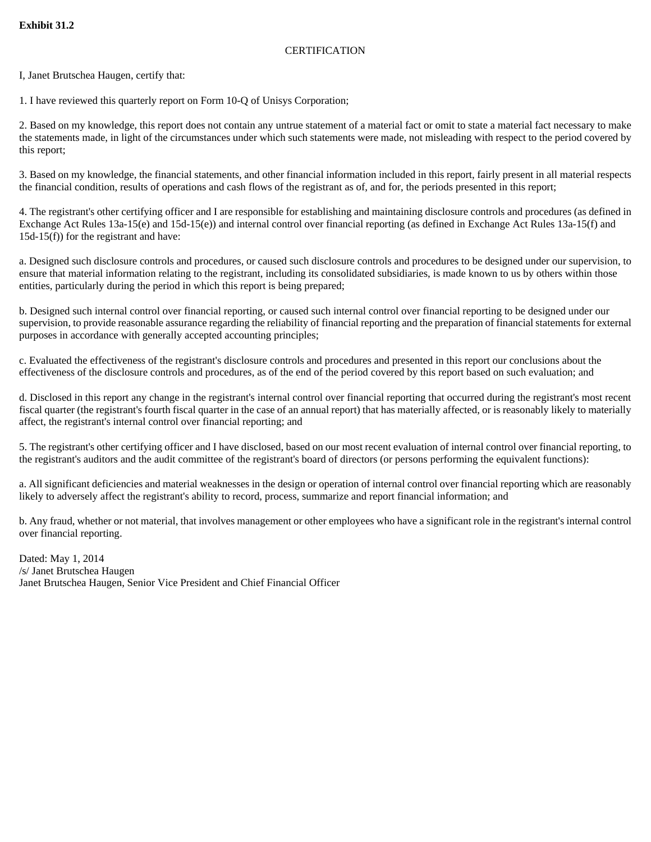#### **CERTIFICATION**

I, Janet Brutschea Haugen, certify that:

1. I have reviewed this quarterly report on Form 10-Q of Unisys Corporation;

2. Based on my knowledge, this report does not contain any untrue statement of a material fact or omit to state a material fact necessary to make the statements made, in light of the circumstances under which such statements were made, not misleading with respect to the period covered by this report;

3. Based on my knowledge, the financial statements, and other financial information included in this report, fairly present in all material respects the financial condition, results of operations and cash flows of the registrant as of, and for, the periods presented in this report;

4. The registrant's other certifying officer and I are responsible for establishing and maintaining disclosure controls and procedures (as defined in Exchange Act Rules 13a-15(e) and 15d-15(e)) and internal control over financial reporting (as defined in Exchange Act Rules 13a-15(f) and 15d-15(f)) for the registrant and have:

a. Designed such disclosure controls and procedures, or caused such disclosure controls and procedures to be designed under our supervision, to ensure that material information relating to the registrant, including its consolidated subsidiaries, is made known to us by others within those entities, particularly during the period in which this report is being prepared;

b. Designed such internal control over financial reporting, or caused such internal control over financial reporting to be designed under our supervision, to provide reasonable assurance regarding the reliability of financial reporting and the preparation of financial statements for external purposes in accordance with generally accepted accounting principles;

c. Evaluated the effectiveness of the registrant's disclosure controls and procedures and presented in this report our conclusions about the effectiveness of the disclosure controls and procedures, as of the end of the period covered by this report based on such evaluation; and

d. Disclosed in this report any change in the registrant's internal control over financial reporting that occurred during the registrant's most recent fiscal quarter (the registrant's fourth fiscal quarter in the case of an annual report) that has materially affected, or is reasonably likely to materially affect, the registrant's internal control over financial reporting; and

5. The registrant's other certifying officer and I have disclosed, based on our most recent evaluation of internal control over financial reporting, to the registrant's auditors and the audit committee of the registrant's board of directors (or persons performing the equivalent functions):

a. All significant deficiencies and material weaknesses in the design or operation of internal control over financial reporting which are reasonably likely to adversely affect the registrant's ability to record, process, summarize and report financial information; and

b. Any fraud, whether or not material, that involves management or other employees who have a significant role in the registrant's internal control over financial reporting.

Dated: May 1, 2014 /s/ Janet Brutschea Haugen Janet Brutschea Haugen, Senior Vice President and Chief Financial Officer